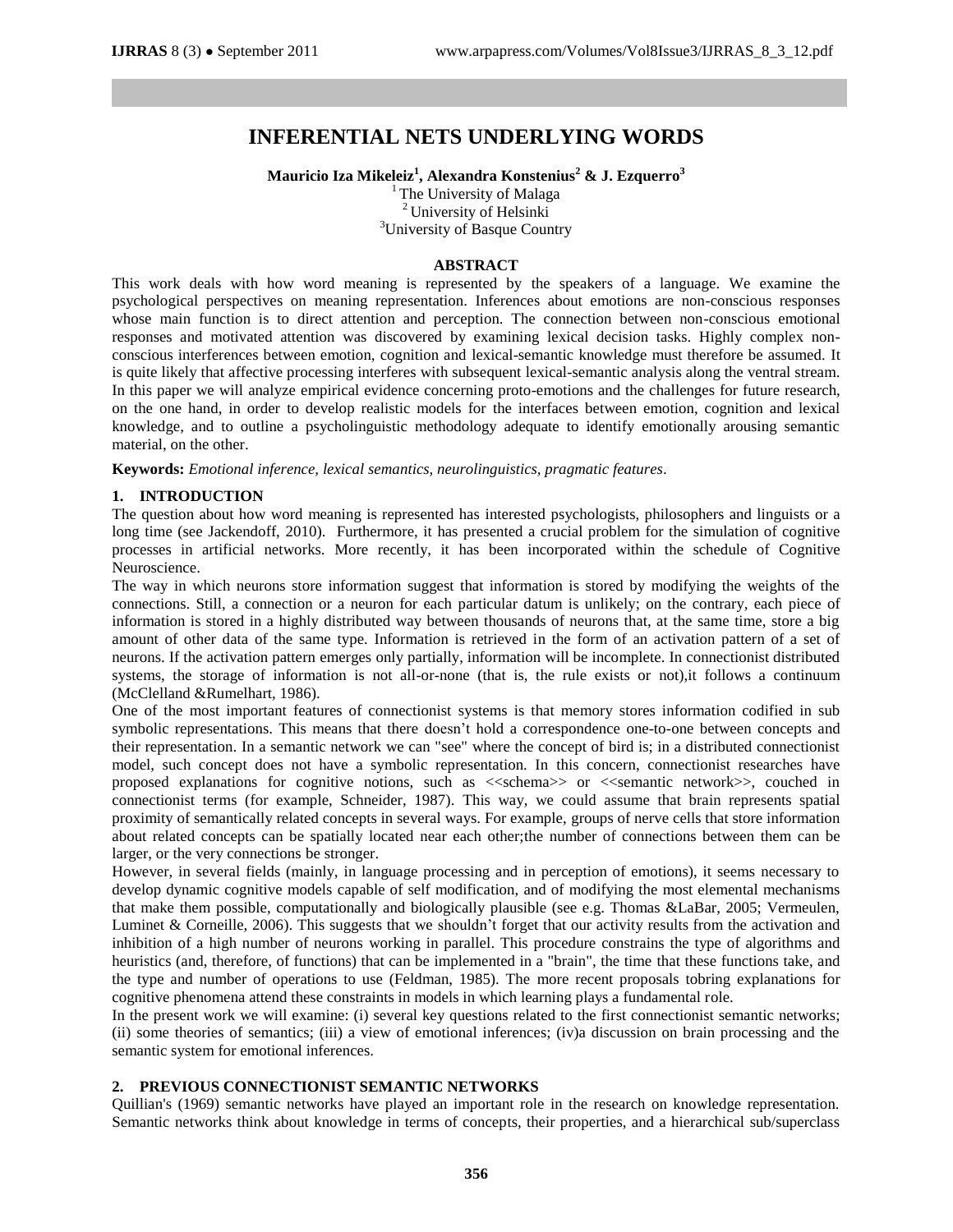# **INFERENTIAL NETS UNDERLYING WORDS**

**Mauricio Iza Mikeleiz<sup>1</sup> , Alexandra Konstenius<sup>2</sup> & J. Ezquerro<sup>3</sup>**

<sup>1</sup> The University of Malaga <sup>2</sup> University of Helsinki <sup>3</sup>University of Basque Country

## **ABSTRACT**

This work deals with how word meaning is represented by the speakers of a language. We examine the psychological perspectives on meaning representation. Inferences about emotions are non-conscious responses whose main function is to direct attention and perception. The connection between non-conscious emotional responses and motivated attention was discovered by examining lexical decision tasks. Highly complex nonconscious interferences between emotion, cognition and lexical-semantic knowledge must therefore be assumed. It is quite likely that affective processing interferes with subsequent lexical-semantic analysis along the ventral stream. In this paper we will analyze empirical evidence concerning proto-emotions and the challenges for future research, on the one hand, in order to develop realistic models for the interfaces between emotion, cognition and lexical knowledge, and to outline a psycholinguistic methodology adequate to identify emotionally arousing semantic material, on the other.

**Keywords:** *Emotional inference, lexical semantics, neurolinguistics, pragmatic features.*

## **1. INTRODUCTION**

The question about how word meaning is represented has interested psychologists, philosophers and linguists or a long time (see Jackendoff, 2010). Furthermore, it has presented a crucial problem for the simulation of cognitive processes in artificial networks. More recently, it has been incorporated within the schedule of Cognitive Neuroscience.

The way in which neurons store information suggest that information is stored by modifying the weights of the connections. Still, a connection or a neuron for each particular datum is unlikely; on the contrary, each piece of information is stored in a highly distributed way between thousands of neurons that, at the same time, store a big amount of other data of the same type. Information is retrieved in the form of an activation pattern of a set of neurons. If the activation pattern emerges only partially, information will be incomplete. In connectionist distributed systems, the storage of information is not all-or-none (that is, the rule exists or not),it follows a continuum (McClelland &Rumelhart, 1986).

One of the most important features of connectionist systems is that memory stores information codified in sub symbolic representations. This means that there doesn"t hold a correspondence one-to-one between concepts and their representation. In a semantic network we can "see" where the concept of bird is; in a distributed connectionist model, such concept does not have a symbolic representation. In this concern, connectionist researches have proposed explanations for cognitive notions, such as <<schema>> or <<semantic network>>, couched in connectionist terms (for example, Schneider, 1987). This way, we could assume that brain represents spatial proximity of semantically related concepts in several ways. For example, groups of nerve cells that store information about related concepts can be spatially located near each other;the number of connections between them can be larger, or the very connections be stronger.

However, in several fields (mainly, in language processing and in perception of emotions), it seems necessary to develop dynamic cognitive models capable of self modification, and of modifying the most elemental mechanisms that make them possible, computationally and biologically plausible (see e.g. Thomas &LaBar, 2005; Vermeulen, Luminet & Corneille, 2006). This suggests that we shouldn"t forget that our activity results from the activation and inhibition of a high number of neurons working in parallel. This procedure constrains the type of algorithms and heuristics (and, therefore, of functions) that can be implemented in a "brain", the time that these functions take, and the type and number of operations to use (Feldman, 1985). The more recent proposals tobring explanations for cognitive phenomena attend these constraints in models in which learning plays a fundamental role.

In the present work we will examine: (i) several key questions related to the first connectionist semantic networks; (ii) some theories of semantics; (iii) a view of emotional inferences; (iv)a discussion on brain processing and the semantic system for emotional inferences.

# **2. PREVIOUS CONNECTIONIST SEMANTIC NETWORKS**

Quillian's (1969) semantic networks have played an important role in the research on knowledge representation. Semantic networks think about knowledge in terms of concepts, their properties, and a hierarchical sub/superclass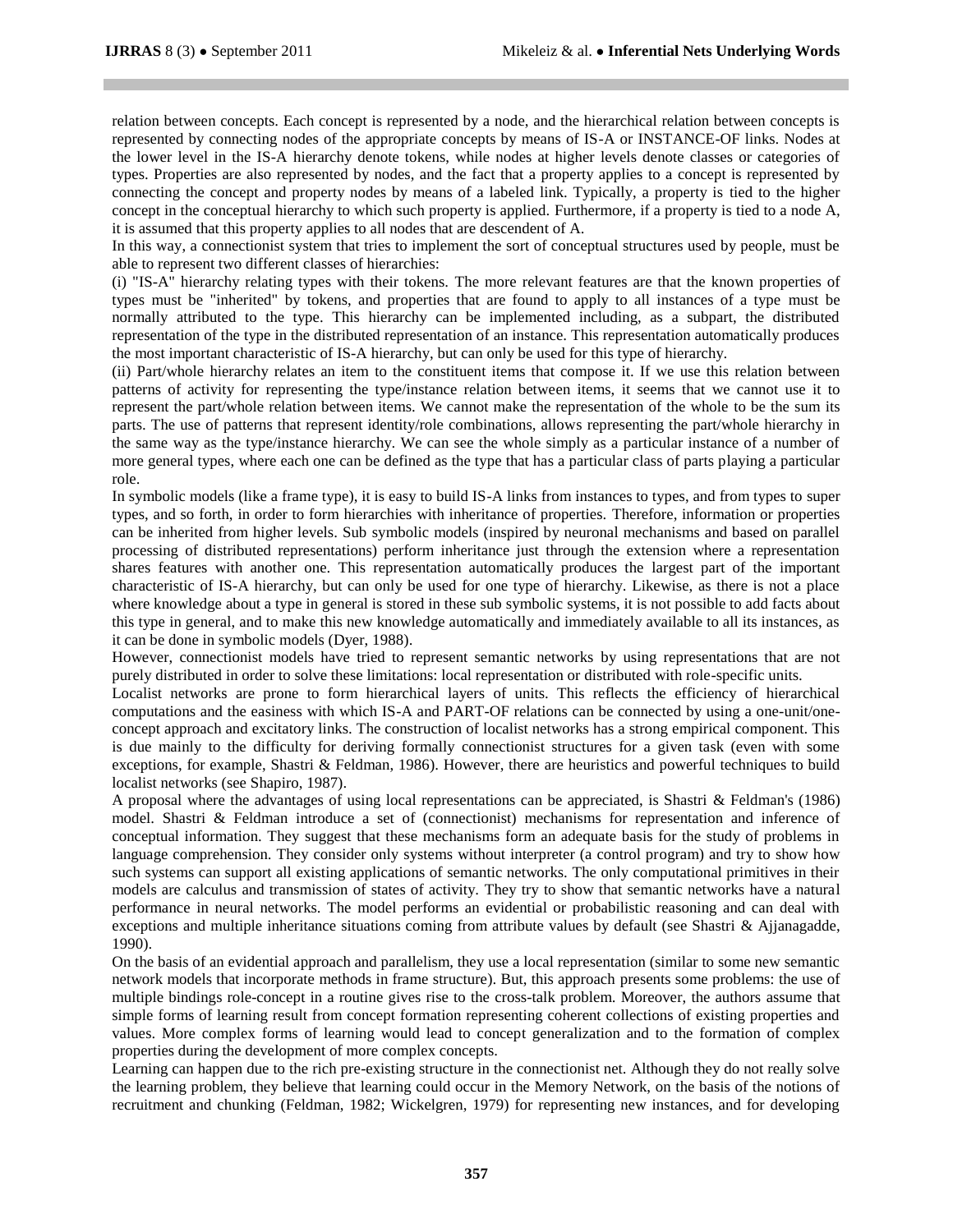relation between concepts. Each concept is represented by a node, and the hierarchical relation between concepts is represented by connecting nodes of the appropriate concepts by means of IS-A or INSTANCE-OF links. Nodes at the lower level in the IS-A hierarchy denote tokens, while nodes at higher levels denote classes or categories of types. Properties are also represented by nodes, and the fact that a property applies to a concept is represented by connecting the concept and property nodes by means of a labeled link. Typically, a property is tied to the higher concept in the conceptual hierarchy to which such property is applied. Furthermore, if a property is tied to a node A, it is assumed that this property applies to all nodes that are descendent of A.

In this way, a connectionist system that tries to implement the sort of conceptual structures used by people, must be able to represent two different classes of hierarchies:

(i) "IS-A" hierarchy relating types with their tokens. The more relevant features are that the known properties of types must be "inherited" by tokens, and properties that are found to apply to all instances of a type must be normally attributed to the type. This hierarchy can be implemented including, as a subpart, the distributed representation of the type in the distributed representation of an instance. This representation automatically produces the most important characteristic of IS-A hierarchy, but can only be used for this type of hierarchy.

(ii) Part/whole hierarchy relates an item to the constituent items that compose it. If we use this relation between patterns of activity for representing the type/instance relation between items, it seems that we cannot use it to represent the part/whole relation between items. We cannot make the representation of the whole to be the sum its parts. The use of patterns that represent identity/role combinations, allows representing the part/whole hierarchy in the same way as the type/instance hierarchy. We can see the whole simply as a particular instance of a number of more general types, where each one can be defined as the type that has a particular class of parts playing a particular role.

In symbolic models (like a frame type), it is easy to build IS-A links from instances to types, and from types to super types, and so forth, in order to form hierarchies with inheritance of properties. Therefore, information or properties can be inherited from higher levels. Sub symbolic models (inspired by neuronal mechanisms and based on parallel processing of distributed representations) perform inheritance just through the extension where a representation shares features with another one. This representation automatically produces the largest part of the important characteristic of IS-A hierarchy, but can only be used for one type of hierarchy. Likewise, as there is not a place where knowledge about a type in general is stored in these sub symbolic systems, it is not possible to add facts about this type in general, and to make this new knowledge automatically and immediately available to all its instances, as it can be done in symbolic models (Dyer, 1988).

However, connectionist models have tried to represent semantic networks by using representations that are not purely distributed in order to solve these limitations: local representation or distributed with role-specific units.

Localist networks are prone to form hierarchical layers of units. This reflects the efficiency of hierarchical computations and the easiness with which IS-A and PART-OF relations can be connected by using a one-unit/oneconcept approach and excitatory links. The construction of localist networks has a strong empirical component. This is due mainly to the difficulty for deriving formally connectionist structures for a given task (even with some exceptions, for example, Shastri & Feldman, 1986). However, there are heuristics and powerful techniques to build localist networks (see Shapiro, 1987).

A proposal where the advantages of using local representations can be appreciated, is Shastri & Feldman's (1986) model. Shastri & Feldman introduce a set of (connectionist) mechanisms for representation and inference of conceptual information. They suggest that these mechanisms form an adequate basis for the study of problems in language comprehension. They consider only systems without interpreter (a control program) and try to show how such systems can support all existing applications of semantic networks. The only computational primitives in their models are calculus and transmission of states of activity. They try to show that semantic networks have a natural performance in neural networks. The model performs an evidential or probabilistic reasoning and can deal with exceptions and multiple inheritance situations coming from attribute values by default (see Shastri & Ajjanagadde, 1990).

On the basis of an evidential approach and parallelism, they use a local representation (similar to some new semantic network models that incorporate methods in frame structure). But, this approach presents some problems: the use of multiple bindings role-concept in a routine gives rise to the cross-talk problem. Moreover, the authors assume that simple forms of learning result from concept formation representing coherent collections of existing properties and values. More complex forms of learning would lead to concept generalization and to the formation of complex properties during the development of more complex concepts.

Learning can happen due to the rich pre-existing structure in the connectionist net. Although they do not really solve the learning problem, they believe that learning could occur in the Memory Network, on the basis of the notions of recruitment and chunking (Feldman, 1982; Wickelgren, 1979) for representing new instances, and for developing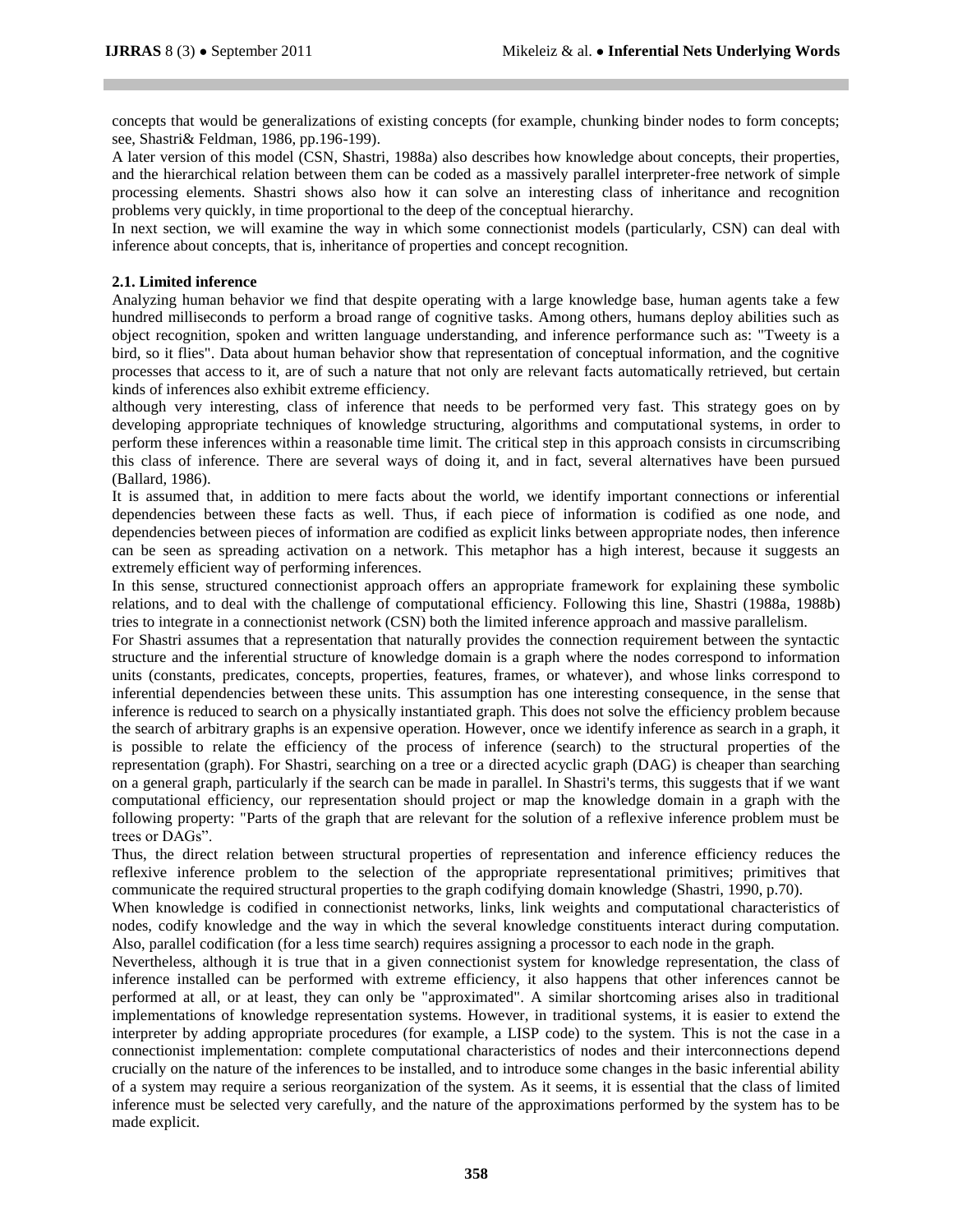concepts that would be generalizations of existing concepts (for example, chunking binder nodes to form concepts; see, Shastri& Feldman, 1986, pp.196-199).

A later version of this model (CSN, Shastri, 1988a) also describes how knowledge about concepts, their properties, and the hierarchical relation between them can be coded as a massively parallel interpreter-free network of simple processing elements. Shastri shows also how it can solve an interesting class of inheritance and recognition problems very quickly, in time proportional to the deep of the conceptual hierarchy.

In next section, we will examine the way in which some connectionist models (particularly, CSN) can deal with inference about concepts, that is, inheritance of properties and concept recognition.

#### **2.1. Limited inference**

Analyzing human behavior we find that despite operating with a large knowledge base, human agents take a few hundred milliseconds to perform a broad range of cognitive tasks. Among others, humans deploy abilities such as object recognition, spoken and written language understanding, and inference performance such as: "Tweety is a bird, so it flies". Data about human behavior show that representation of conceptual information, and the cognitive processes that access to it, are of such a nature that not only are relevant facts automatically retrieved, but certain kinds of inferences also exhibit extreme efficiency.

although very interesting, class of inference that needs to be performed very fast. This strategy goes on by developing appropriate techniques of knowledge structuring, algorithms and computational systems, in order to perform these inferences within a reasonable time limit. The critical step in this approach consists in circumscribing this class of inference. There are several ways of doing it, and in fact, several alternatives have been pursued (Ballard, 1986).

It is assumed that, in addition to mere facts about the world, we identify important connections or inferential dependencies between these facts as well. Thus, if each piece of information is codified as one node, and dependencies between pieces of information are codified as explicit links between appropriate nodes, then inference can be seen as spreading activation on a network. This metaphor has a high interest, because it suggests an extremely efficient way of performing inferences.

In this sense, structured connectionist approach offers an appropriate framework for explaining these symbolic relations, and to deal with the challenge of computational efficiency. Following this line, Shastri (1988a, 1988b) tries to integrate in a connectionist network (CSN) both the limited inference approach and massive parallelism.

For Shastri assumes that a representation that naturally provides the connection requirement between the syntactic structure and the inferential structure of knowledge domain is a graph where the nodes correspond to information units (constants, predicates, concepts, properties, features, frames, or whatever), and whose links correspond to inferential dependencies between these units. This assumption has one interesting consequence, in the sense that inference is reduced to search on a physically instantiated graph. This does not solve the efficiency problem because the search of arbitrary graphs is an expensive operation. However, once we identify inference as search in a graph, it is possible to relate the efficiency of the process of inference (search) to the structural properties of the representation (graph). For Shastri, searching on a tree or a directed acyclic graph (DAG) is cheaper than searching on a general graph, particularly if the search can be made in parallel. In Shastri's terms, this suggests that if we want computational efficiency, our representation should project or map the knowledge domain in a graph with the following property: "Parts of the graph that are relevant for the solution of a reflexive inference problem must be trees or DAGs".

Thus, the direct relation between structural properties of representation and inference efficiency reduces the reflexive inference problem to the selection of the appropriate representational primitives; primitives that communicate the required structural properties to the graph codifying domain knowledge (Shastri, 1990, p.70).

When knowledge is codified in connectionist networks, links, link weights and computational characteristics of nodes, codify knowledge and the way in which the several knowledge constituents interact during computation. Also, parallel codification (for a less time search) requires assigning a processor to each node in the graph.

Nevertheless, although it is true that in a given connectionist system for knowledge representation, the class of inference installed can be performed with extreme efficiency, it also happens that other inferences cannot be performed at all, or at least, they can only be "approximated". A similar shortcoming arises also in traditional implementations of knowledge representation systems. However, in traditional systems, it is easier to extend the interpreter by adding appropriate procedures (for example, a LISP code) to the system. This is not the case in a connectionist implementation: complete computational characteristics of nodes and their interconnections depend crucially on the nature of the inferences to be installed, and to introduce some changes in the basic inferential ability of a system may require a serious reorganization of the system. As it seems, it is essential that the class of limited inference must be selected very carefully, and the nature of the approximations performed by the system has to be made explicit.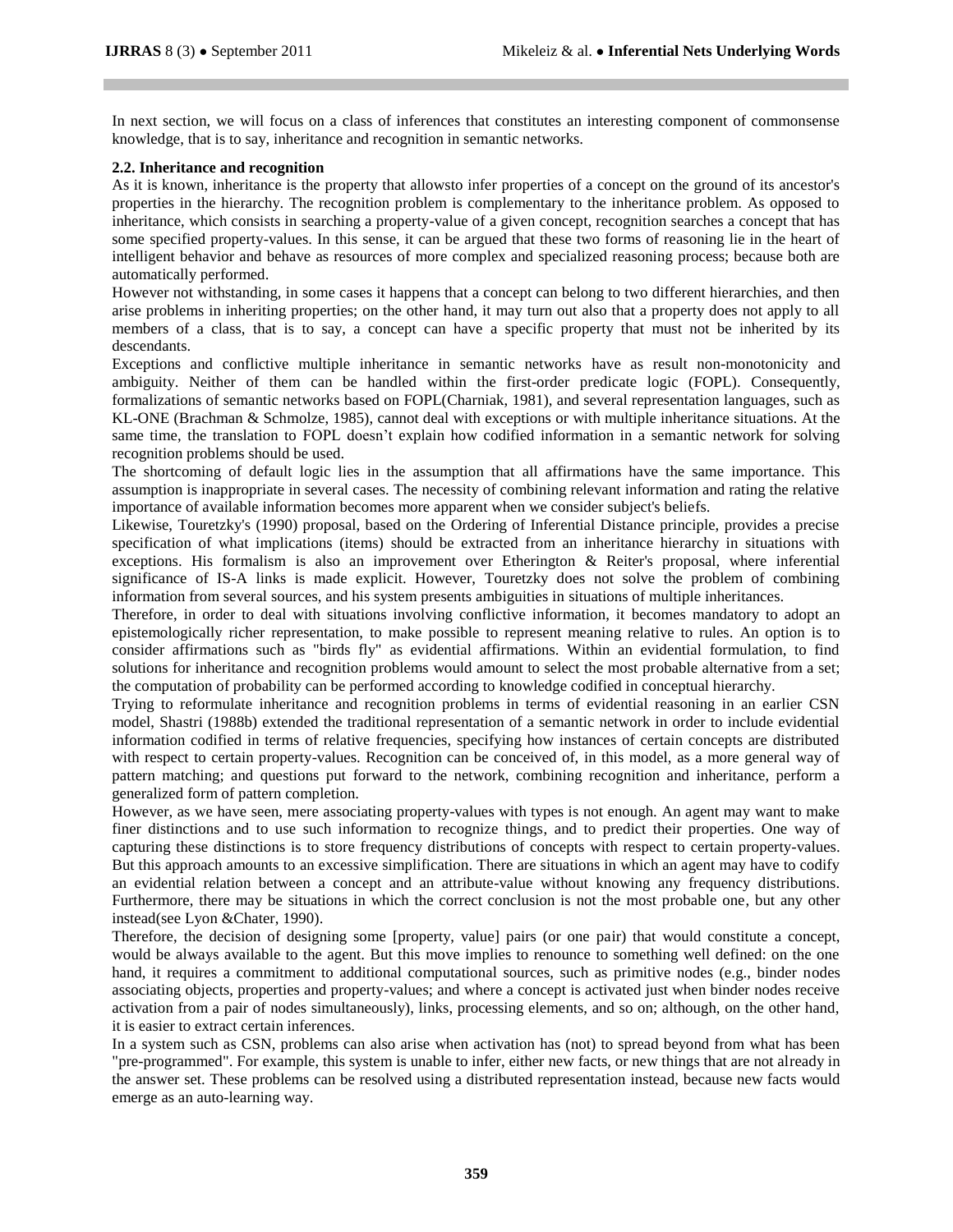In next section, we will focus on a class of inferences that constitutes an interesting component of commonsense knowledge, that is to say, inheritance and recognition in semantic networks.

## **2.2. Inheritance and recognition**

As it is known, inheritance is the property that allowsto infer properties of a concept on the ground of its ancestor's properties in the hierarchy. The recognition problem is complementary to the inheritance problem. As opposed to inheritance, which consists in searching a property-value of a given concept, recognition searches a concept that has some specified property-values. In this sense, it can be argued that these two forms of reasoning lie in the heart of intelligent behavior and behave as resources of more complex and specialized reasoning process; because both are automatically performed.

However not withstanding, in some cases it happens that a concept can belong to two different hierarchies, and then arise problems in inheriting properties; on the other hand, it may turn out also that a property does not apply to all members of a class, that is to say, a concept can have a specific property that must not be inherited by its descendants.

Exceptions and conflictive multiple inheritance in semantic networks have as result non-monotonicity and ambiguity. Neither of them can be handled within the first-order predicate logic (FOPL). Consequently, formalizations of semantic networks based on FOPL(Charniak, 1981), and several representation languages, such as KL-ONE (Brachman & Schmolze, 1985), cannot deal with exceptions or with multiple inheritance situations. At the same time, the translation to FOPL doesn"t explain how codified information in a semantic network for solving recognition problems should be used.

The shortcoming of default logic lies in the assumption that all affirmations have the same importance. This assumption is inappropriate in several cases. The necessity of combining relevant information and rating the relative importance of available information becomes more apparent when we consider subject's beliefs.

Likewise, Touretzky's (1990) proposal, based on the Ordering of Inferential Distance principle, provides a precise specification of what implications (items) should be extracted from an inheritance hierarchy in situations with exceptions. His formalism is also an improvement over Etherington & Reiter's proposal, where inferential significance of IS-A links is made explicit. However, Touretzky does not solve the problem of combining information from several sources, and his system presents ambiguities in situations of multiple inheritances.

Therefore, in order to deal with situations involving conflictive information, it becomes mandatory to adopt an epistemologically richer representation, to make possible to represent meaning relative to rules. An option is to consider affirmations such as "birds fly" as evidential affirmations. Within an evidential formulation, to find solutions for inheritance and recognition problems would amount to select the most probable alternative from a set; the computation of probability can be performed according to knowledge codified in conceptual hierarchy.

Trying to reformulate inheritance and recognition problems in terms of evidential reasoning in an earlier CSN model, Shastri (1988b) extended the traditional representation of a semantic network in order to include evidential information codified in terms of relative frequencies, specifying how instances of certain concepts are distributed with respect to certain property-values. Recognition can be conceived of, in this model, as a more general way of pattern matching; and questions put forward to the network, combining recognition and inheritance, perform a generalized form of pattern completion.

However, as we have seen, mere associating property-values with types is not enough. An agent may want to make finer distinctions and to use such information to recognize things, and to predict their properties. One way of capturing these distinctions is to store frequency distributions of concepts with respect to certain property-values. But this approach amounts to an excessive simplification. There are situations in which an agent may have to codify an evidential relation between a concept and an attribute-value without knowing any frequency distributions. Furthermore, there may be situations in which the correct conclusion is not the most probable one, but any other instead(see Lyon &Chater, 1990).

Therefore, the decision of designing some [property, value] pairs (or one pair) that would constitute a concept, would be always available to the agent. But this move implies to renounce to something well defined: on the one hand, it requires a commitment to additional computational sources, such as primitive nodes (e.g., binder nodes associating objects, properties and property-values; and where a concept is activated just when binder nodes receive activation from a pair of nodes simultaneously), links, processing elements, and so on; although, on the other hand, it is easier to extract certain inferences.

In a system such as CSN, problems can also arise when activation has (not) to spread beyond from what has been "pre-programmed". For example, this system is unable to infer, either new facts, or new things that are not already in the answer set. These problems can be resolved using a distributed representation instead, because new facts would emerge as an auto-learning way.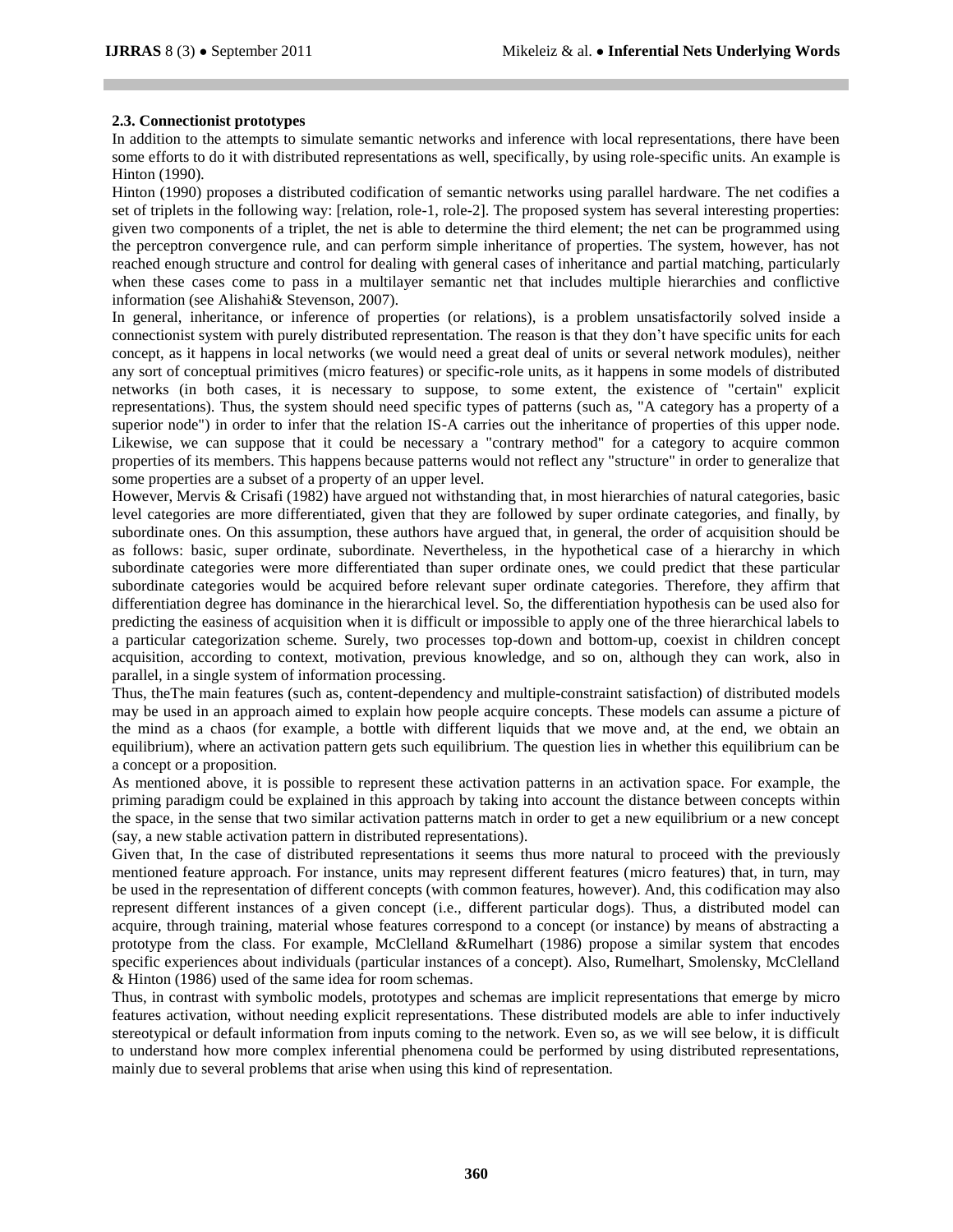## **2.3. Connectionist prototypes**

In addition to the attempts to simulate semantic networks and inference with local representations, there have been some efforts to do it with distributed representations as well, specifically, by using role-specific units. An example is Hinton (1990).

Hinton (1990) proposes a distributed codification of semantic networks using parallel hardware. The net codifies a set of triplets in the following way: [relation, role-1, role-2]. The proposed system has several interesting properties: given two components of a triplet, the net is able to determine the third element; the net can be programmed using the perceptron convergence rule, and can perform simple inheritance of properties. The system, however, has not reached enough structure and control for dealing with general cases of inheritance and partial matching, particularly when these cases come to pass in a multilayer semantic net that includes multiple hierarchies and conflictive information (see Alishahi& Stevenson, 2007).

In general, inheritance, or inference of properties (or relations), is a problem unsatisfactorily solved inside a connectionist system with purely distributed representation. The reason is that they don"t have specific units for each concept, as it happens in local networks (we would need a great deal of units or several network modules), neither any sort of conceptual primitives (micro features) or specific-role units, as it happens in some models of distributed networks (in both cases, it is necessary to suppose, to some extent, the existence of "certain" explicit representations). Thus, the system should need specific types of patterns (such as, "A category has a property of a superior node") in order to infer that the relation IS-A carries out the inheritance of properties of this upper node. Likewise, we can suppose that it could be necessary a "contrary method" for a category to acquire common properties of its members. This happens because patterns would not reflect any "structure" in order to generalize that some properties are a subset of a property of an upper level.

However, Mervis & Crisafi (1982) have argued not withstanding that, in most hierarchies of natural categories, basic level categories are more differentiated, given that they are followed by super ordinate categories, and finally, by subordinate ones. On this assumption, these authors have argued that, in general, the order of acquisition should be as follows: basic, super ordinate, subordinate. Nevertheless, in the hypothetical case of a hierarchy in which subordinate categories were more differentiated than super ordinate ones, we could predict that these particular subordinate categories would be acquired before relevant super ordinate categories. Therefore, they affirm that differentiation degree has dominance in the hierarchical level. So, the differentiation hypothesis can be used also for predicting the easiness of acquisition when it is difficult or impossible to apply one of the three hierarchical labels to a particular categorization scheme. Surely, two processes top-down and bottom-up, coexist in children concept acquisition, according to context, motivation, previous knowledge, and so on, although they can work, also in parallel, in a single system of information processing.

Thus, theThe main features (such as, content-dependency and multiple-constraint satisfaction) of distributed models may be used in an approach aimed to explain how people acquire concepts. These models can assume a picture of the mind as a chaos (for example, a bottle with different liquids that we move and, at the end, we obtain an equilibrium), where an activation pattern gets such equilibrium. The question lies in whether this equilibrium can be a concept or a proposition.

As mentioned above, it is possible to represent these activation patterns in an activation space. For example, the priming paradigm could be explained in this approach by taking into account the distance between concepts within the space, in the sense that two similar activation patterns match in order to get a new equilibrium or a new concept (say, a new stable activation pattern in distributed representations).

Given that, In the case of distributed representations it seems thus more natural to proceed with the previously mentioned feature approach. For instance, units may represent different features (micro features) that, in turn, may be used in the representation of different concepts (with common features, however). And, this codification may also represent different instances of a given concept (i.e., different particular dogs). Thus, a distributed model can acquire, through training, material whose features correspond to a concept (or instance) by means of abstracting a prototype from the class. For example, McClelland &Rumelhart (1986) propose a similar system that encodes specific experiences about individuals (particular instances of a concept). Also, Rumelhart, Smolensky, McClelland & Hinton (1986) used of the same idea for room schemas.

Thus, in contrast with symbolic models, prototypes and schemas are implicit representations that emerge by micro features activation, without needing explicit representations. These distributed models are able to infer inductively stereotypical or default information from inputs coming to the network. Even so, as we will see below, it is difficult to understand how more complex inferential phenomena could be performed by using distributed representations, mainly due to several problems that arise when using this kind of representation.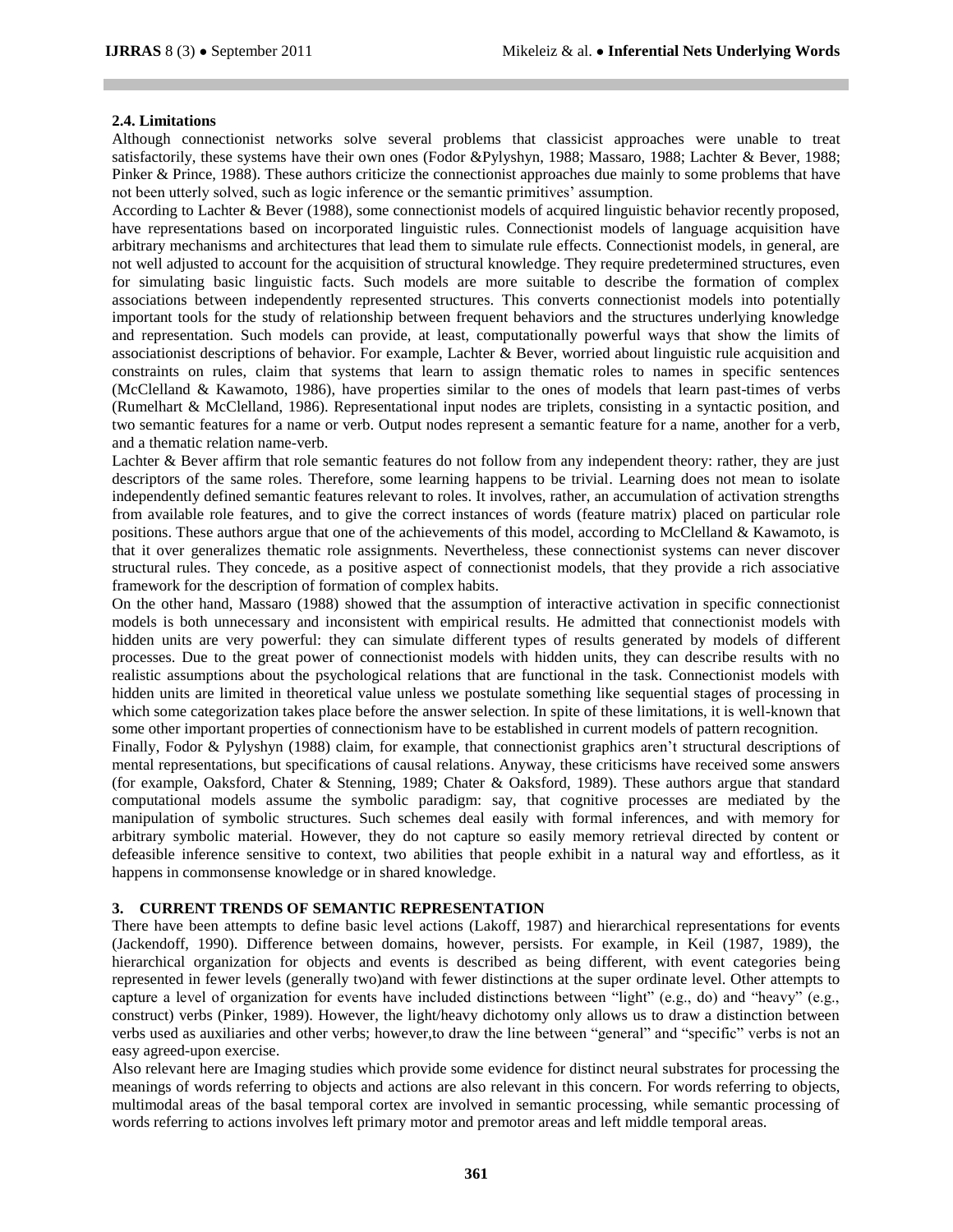## **2.4. Limitations**

Although connectionist networks solve several problems that classicist approaches were unable to treat satisfactorily, these systems have their own ones (Fodor &Pylyshyn, 1988; Massaro, 1988; Lachter & Bever, 1988; Pinker & Prince, 1988). These authors criticize the connectionist approaches due mainly to some problems that have not been utterly solved, such as logic inference or the semantic primitives" assumption.

According to Lachter & Bever (1988), some connectionist models of acquired linguistic behavior recently proposed, have representations based on incorporated linguistic rules. Connectionist models of language acquisition have arbitrary mechanisms and architectures that lead them to simulate rule effects. Connectionist models, in general, are not well adjusted to account for the acquisition of structural knowledge. They require predetermined structures, even for simulating basic linguistic facts. Such models are more suitable to describe the formation of complex associations between independently represented structures. This converts connectionist models into potentially important tools for the study of relationship between frequent behaviors and the structures underlying knowledge and representation. Such models can provide, at least, computationally powerful ways that show the limits of associationist descriptions of behavior. For example, Lachter & Bever, worried about linguistic rule acquisition and constraints on rules, claim that systems that learn to assign thematic roles to names in specific sentences (McClelland & Kawamoto, 1986), have properties similar to the ones of models that learn past-times of verbs (Rumelhart & McClelland, 1986). Representational input nodes are triplets, consisting in a syntactic position, and two semantic features for a name or verb. Output nodes represent a semantic feature for a name, another for a verb, and a thematic relation name-verb.

Lachter & Bever affirm that role semantic features do not follow from any independent theory: rather, they are just descriptors of the same roles. Therefore, some learning happens to be trivial. Learning does not mean to isolate independently defined semantic features relevant to roles. It involves, rather, an accumulation of activation strengths from available role features, and to give the correct instances of words (feature matrix) placed on particular role positions. These authors argue that one of the achievements of this model, according to McClelland & Kawamoto, is that it over generalizes thematic role assignments. Nevertheless, these connectionist systems can never discover structural rules. They concede, as a positive aspect of connectionist models, that they provide a rich associative framework for the description of formation of complex habits.

On the other hand, Massaro (1988) showed that the assumption of interactive activation in specific connectionist models is both unnecessary and inconsistent with empirical results. He admitted that connectionist models with hidden units are very powerful: they can simulate different types of results generated by models of different processes. Due to the great power of connectionist models with hidden units, they can describe results with no realistic assumptions about the psychological relations that are functional in the task. Connectionist models with hidden units are limited in theoretical value unless we postulate something like sequential stages of processing in which some categorization takes place before the answer selection. In spite of these limitations, it is well-known that some other important properties of connectionism have to be established in current models of pattern recognition.

Finally, Fodor & Pylyshyn (1988) claim, for example, that connectionist graphics aren't structural descriptions of mental representations, but specifications of causal relations. Anyway, these criticisms have received some answers (for example, Oaksford, Chater & Stenning, 1989; Chater & Oaksford, 1989). These authors argue that standard computational models assume the symbolic paradigm: say, that cognitive processes are mediated by the manipulation of symbolic structures. Such schemes deal easily with formal inferences, and with memory for arbitrary symbolic material. However, they do not capture so easily memory retrieval directed by content or defeasible inference sensitive to context, two abilities that people exhibit in a natural way and effortless, as it happens in commonsense knowledge or in shared knowledge.

## **3. CURRENT TRENDS OF SEMANTIC REPRESENTATION**

There have been attempts to define basic level actions (Lakoff, 1987) and hierarchical representations for events (Jackendoff, 1990). Difference between domains, however, persists. For example, in Keil (1987, 1989), the hierarchical organization for objects and events is described as being different, with event categories being represented in fewer levels (generally two)and with fewer distinctions at the super ordinate level. Other attempts to capture a level of organization for events have included distinctions between "light" (e.g., do) and "heavy" (e.g., construct) verbs (Pinker, 1989). However, the light/heavy dichotomy only allows us to draw a distinction between verbs used as auxiliaries and other verbs; however,to draw the line between "general" and "specific" verbs is not an easy agreed-upon exercise.

Also relevant here are Imaging studies which provide some evidence for distinct neural substrates for processing the meanings of words referring to objects and actions are also relevant in this concern. For words referring to objects, multimodal areas of the basal temporal cortex are involved in semantic processing, while semantic processing of words referring to actions involves left primary motor and premotor areas and left middle temporal areas.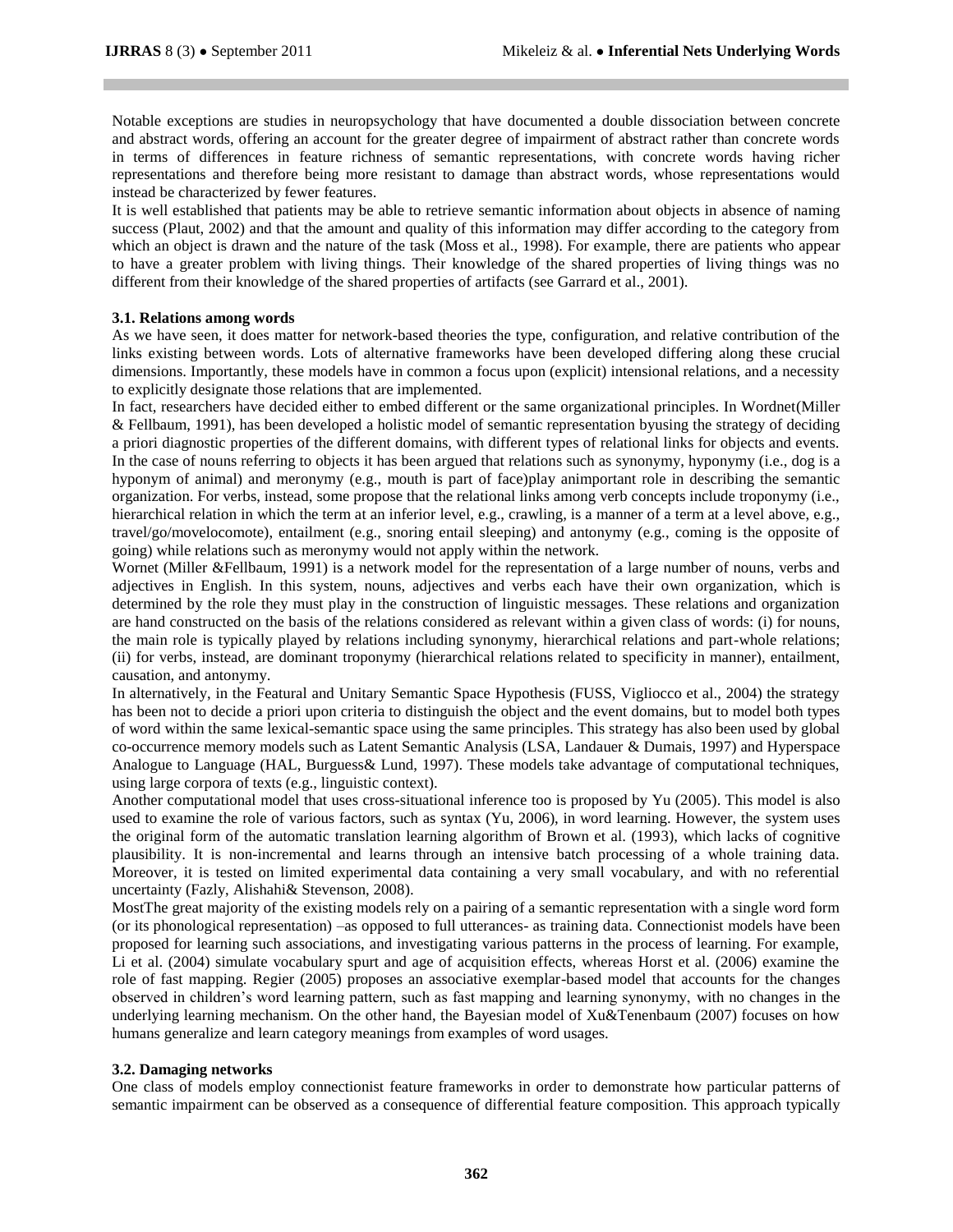Notable exceptions are studies in neuropsychology that have documented a double dissociation between concrete and abstract words, offering an account for the greater degree of impairment of abstract rather than concrete words in terms of differences in feature richness of semantic representations, with concrete words having richer representations and therefore being more resistant to damage than abstract words, whose representations would instead be characterized by fewer features.

It is well established that patients may be able to retrieve semantic information about objects in absence of naming success (Plaut, 2002) and that the amount and quality of this information may differ according to the category from which an object is drawn and the nature of the task (Moss et al., 1998). For example, there are patients who appear to have a greater problem with living things. Their knowledge of the shared properties of living things was no different from their knowledge of the shared properties of artifacts (see Garrard et al., 2001).

#### **3.1. Relations among words**

As we have seen, it does matter for network-based theories the type, configuration, and relative contribution of the links existing between words. Lots of alternative frameworks have been developed differing along these crucial dimensions. Importantly, these models have in common a focus upon (explicit) intensional relations, and a necessity to explicitly designate those relations that are implemented.

In fact, researchers have decided either to embed different or the same organizational principles. In Wordnet(Miller & Fellbaum, 1991), has been developed a holistic model of semantic representation byusing the strategy of deciding a priori diagnostic properties of the different domains, with different types of relational links for objects and events. In the case of nouns referring to objects it has been argued that relations such as synonymy, hyponymy (i.e., dog is a hyponym of animal) and meronymy (e.g., mouth is part of face)play animportant role in describing the semantic organization. For verbs, instead, some propose that the relational links among verb concepts include troponymy (i.e., hierarchical relation in which the term at an inferior level, e.g., crawling, is a manner of a term at a level above, e.g., travel/go/movelocomote), entailment (e.g., snoring entail sleeping) and antonymy (e.g., coming is the opposite of going) while relations such as meronymy would not apply within the network.

Wornet (Miller &Fellbaum, 1991) is a network model for the representation of a large number of nouns, verbs and adjectives in English. In this system, nouns, adjectives and verbs each have their own organization, which is determined by the role they must play in the construction of linguistic messages. These relations and organization are hand constructed on the basis of the relations considered as relevant within a given class of words: (i) for nouns, the main role is typically played by relations including synonymy, hierarchical relations and part-whole relations; (ii) for verbs, instead, are dominant troponymy (hierarchical relations related to specificity in manner), entailment, causation, and antonymy.

In alternatively, in the Featural and Unitary Semantic Space Hypothesis (FUSS, Vigliocco et al., 2004) the strategy has been not to decide a priori upon criteria to distinguish the object and the event domains, but to model both types of word within the same lexical-semantic space using the same principles. This strategy has also been used by global co-occurrence memory models such as Latent Semantic Analysis (LSA, Landauer & Dumais, 1997) and Hyperspace Analogue to Language (HAL, Burguess& Lund, 1997). These models take advantage of computational techniques, using large corpora of texts (e.g., linguistic context).

Another computational model that uses cross-situational inference too is proposed by Yu (2005). This model is also used to examine the role of various factors, such as syntax (Yu, 2006), in word learning. However, the system uses the original form of the automatic translation learning algorithm of Brown et al. (1993), which lacks of cognitive plausibility. It is non-incremental and learns through an intensive batch processing of a whole training data. Moreover, it is tested on limited experimental data containing a very small vocabulary, and with no referential uncertainty (Fazly, Alishahi& Stevenson, 2008).

MostThe great majority of the existing models rely on a pairing of a semantic representation with a single word form (or its phonological representation) –as opposed to full utterances- as training data. Connectionist models have been proposed for learning such associations, and investigating various patterns in the process of learning. For example, Li et al. (2004) simulate vocabulary spurt and age of acquisition effects, whereas Horst et al. (2006) examine the role of fast mapping. Regier (2005) proposes an associative exemplar-based model that accounts for the changes observed in children"s word learning pattern, such as fast mapping and learning synonymy, with no changes in the underlying learning mechanism. On the other hand, the Bayesian model of Xu&Tenenbaum (2007) focuses on how humans generalize and learn category meanings from examples of word usages.

## **3.2. Damaging networks**

One class of models employ connectionist feature frameworks in order to demonstrate how particular patterns of semantic impairment can be observed as a consequence of differential feature composition. This approach typically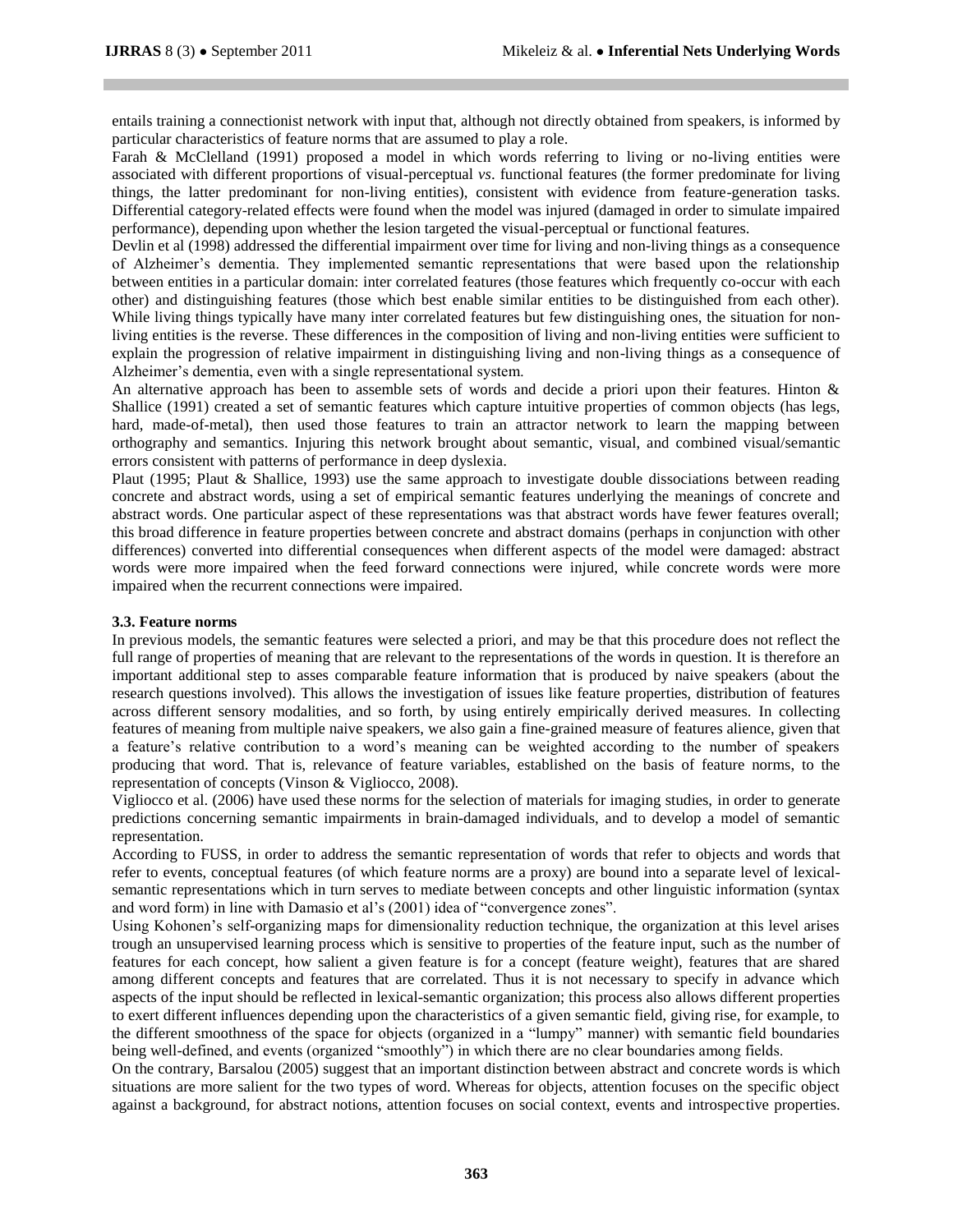entails training a connectionist network with input that, although not directly obtained from speakers, is informed by particular characteristics of feature norms that are assumed to play a role.

Farah & McClelland (1991) proposed a model in which words referring to living or no-living entities were associated with different proportions of visual-perceptual *vs*. functional features (the former predominate for living things, the latter predominant for non-living entities), consistent with evidence from feature-generation tasks. Differential category-related effects were found when the model was injured (damaged in order to simulate impaired performance), depending upon whether the lesion targeted the visual-perceptual or functional features.

Devlin et al (1998) addressed the differential impairment over time for living and non-living things as a consequence of Alzheimer"s dementia. They implemented semantic representations that were based upon the relationship between entities in a particular domain: inter correlated features (those features which frequently co-occur with each other) and distinguishing features (those which best enable similar entities to be distinguished from each other). While living things typically have many inter correlated features but few distinguishing ones, the situation for nonliving entities is the reverse. These differences in the composition of living and non-living entities were sufficient to explain the progression of relative impairment in distinguishing living and non-living things as a consequence of Alzheimer"s dementia, even with a single representational system.

An alternative approach has been to assemble sets of words and decide a priori upon their features. Hinton & Shallice (1991) created a set of semantic features which capture intuitive properties of common objects (has legs, hard, made-of-metal), then used those features to train an attractor network to learn the mapping between orthography and semantics. Injuring this network brought about semantic, visual, and combined visual/semantic errors consistent with patterns of performance in deep dyslexia.

Plaut (1995; Plaut & Shallice, 1993) use the same approach to investigate double dissociations between reading concrete and abstract words, using a set of empirical semantic features underlying the meanings of concrete and abstract words. One particular aspect of these representations was that abstract words have fewer features overall; this broad difference in feature properties between concrete and abstract domains (perhaps in conjunction with other differences) converted into differential consequences when different aspects of the model were damaged: abstract words were more impaired when the feed forward connections were injured, while concrete words were more impaired when the recurrent connections were impaired.

## **3.3. Feature norms**

In previous models, the semantic features were selected a priori, and may be that this procedure does not reflect the full range of properties of meaning that are relevant to the representations of the words in question. It is therefore an important additional step to asses comparable feature information that is produced by naive speakers (about the research questions involved). This allows the investigation of issues like feature properties, distribution of features across different sensory modalities, and so forth, by using entirely empirically derived measures. In collecting features of meaning from multiple naive speakers, we also gain a fine-grained measure of features alience, given that a feature"s relative contribution to a word"s meaning can be weighted according to the number of speakers producing that word. That is, relevance of feature variables, established on the basis of feature norms, to the representation of concepts (Vinson & Vigliocco, 2008).

Vigliocco et al. (2006) have used these norms for the selection of materials for imaging studies, in order to generate predictions concerning semantic impairments in brain-damaged individuals, and to develop a model of semantic representation.

According to FUSS, in order to address the semantic representation of words that refer to objects and words that refer to events, conceptual features (of which feature norms are a proxy) are bound into a separate level of lexicalsemantic representations which in turn serves to mediate between concepts and other linguistic information (syntax and word form) in line with Damasio et al"s (2001) idea of "convergence zones".

Using Kohonen"s self-organizing maps for dimensionality reduction technique, the organization at this level arises trough an unsupervised learning process which is sensitive to properties of the feature input, such as the number of features for each concept, how salient a given feature is for a concept (feature weight), features that are shared among different concepts and features that are correlated. Thus it is not necessary to specify in advance which aspects of the input should be reflected in lexical-semantic organization; this process also allows different properties to exert different influences depending upon the characteristics of a given semantic field, giving rise, for example, to the different smoothness of the space for objects (organized in a "lumpy" manner) with semantic field boundaries being well-defined, and events (organized "smoothly") in which there are no clear boundaries among fields.

On the contrary, Barsalou (2005) suggest that an important distinction between abstract and concrete words is which situations are more salient for the two types of word. Whereas for objects, attention focuses on the specific object against a background, for abstract notions, attention focuses on social context, events and introspective properties.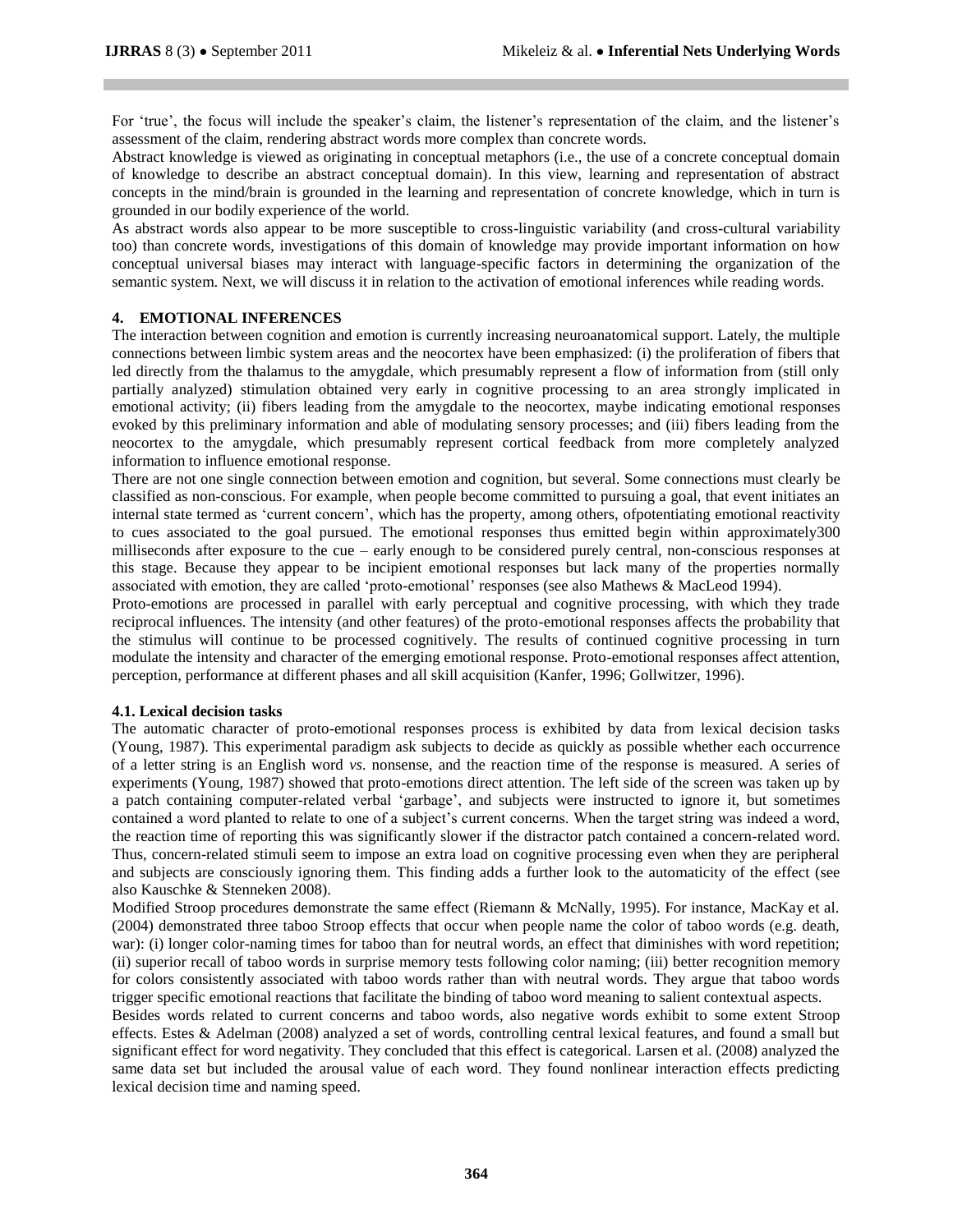For 'true', the focus will include the speaker's claim, the listener's representation of the claim, and the listener's assessment of the claim, rendering abstract words more complex than concrete words.

Abstract knowledge is viewed as originating in conceptual metaphors (i.e., the use of a concrete conceptual domain of knowledge to describe an abstract conceptual domain). In this view, learning and representation of abstract concepts in the mind/brain is grounded in the learning and representation of concrete knowledge, which in turn is grounded in our bodily experience of the world.

As abstract words also appear to be more susceptible to cross-linguistic variability (and cross-cultural variability too) than concrete words, investigations of this domain of knowledge may provide important information on how conceptual universal biases may interact with language-specific factors in determining the organization of the semantic system. Next, we will discuss it in relation to the activation of emotional inferences while reading words.

## **4. EMOTIONAL INFERENCES**

The interaction between cognition and emotion is currently increasing neuroanatomical support. Lately, the multiple connections between limbic system areas and the neocortex have been emphasized: (i) the proliferation of fibers that led directly from the thalamus to the amygdale, which presumably represent a flow of information from (still only partially analyzed) stimulation obtained very early in cognitive processing to an area strongly implicated in emotional activity; (ii) fibers leading from the amygdale to the neocortex, maybe indicating emotional responses evoked by this preliminary information and able of modulating sensory processes; and (iii) fibers leading from the neocortex to the amygdale, which presumably represent cortical feedback from more completely analyzed information to influence emotional response.

There are not one single connection between emotion and cognition, but several. Some connections must clearly be classified as non-conscious. For example, when people become committed to pursuing a goal, that event initiates an internal state termed as "current concern", which has the property, among others, ofpotentiating emotional reactivity to cues associated to the goal pursued. The emotional responses thus emitted begin within approximately300 milliseconds after exposure to the cue – early enough to be considered purely central, non-conscious responses at this stage. Because they appear to be incipient emotional responses but lack many of the properties normally associated with emotion, they are called "proto-emotional" responses (see also Mathews & MacLeod 1994).

Proto-emotions are processed in parallel with early perceptual and cognitive processing, with which they trade reciprocal influences. The intensity (and other features) of the proto-emotional responses affects the probability that the stimulus will continue to be processed cognitively. The results of continued cognitive processing in turn modulate the intensity and character of the emerging emotional response. Proto-emotional responses affect attention, perception, performance at different phases and all skill acquisition (Kanfer, 1996; Gollwitzer, 1996).

## **4.1. Lexical decision tasks**

The automatic character of proto-emotional responses process is exhibited by data from lexical decision tasks (Young, 1987). This experimental paradigm ask subjects to decide as quickly as possible whether each occurrence of a letter string is an English word *vs*. nonsense, and the reaction time of the response is measured. A series of experiments (Young, 1987) showed that proto-emotions direct attention. The left side of the screen was taken up by a patch containing computer-related verbal "garbage", and subjects were instructed to ignore it, but sometimes contained a word planted to relate to one of a subject's current concerns. When the target string was indeed a word, the reaction time of reporting this was significantly slower if the distractor patch contained a concern-related word. Thus, concern-related stimuli seem to impose an extra load on cognitive processing even when they are peripheral and subjects are consciously ignoring them. This finding adds a further look to the automaticity of the effect (see also Kauschke & Stenneken 2008).

Modified Stroop procedures demonstrate the same effect (Riemann & McNally, 1995). For instance, MacKay et al. (2004) demonstrated three taboo Stroop effects that occur when people name the color of taboo words (e.g. death, war): (i) longer color-naming times for taboo than for neutral words, an effect that diminishes with word repetition; (ii) superior recall of taboo words in surprise memory tests following color naming; (iii) better recognition memory for colors consistently associated with taboo words rather than with neutral words. They argue that taboo words trigger specific emotional reactions that facilitate the binding of taboo word meaning to salient contextual aspects.

Besides words related to current concerns and taboo words, also negative words exhibit to some extent Stroop effects. Estes & Adelman (2008) analyzed a set of words, controlling central lexical features, and found a small but significant effect for word negativity. They concluded that this effect is categorical. Larsen et al. (2008) analyzed the same data set but included the arousal value of each word. They found nonlinear interaction effects predicting lexical decision time and naming speed.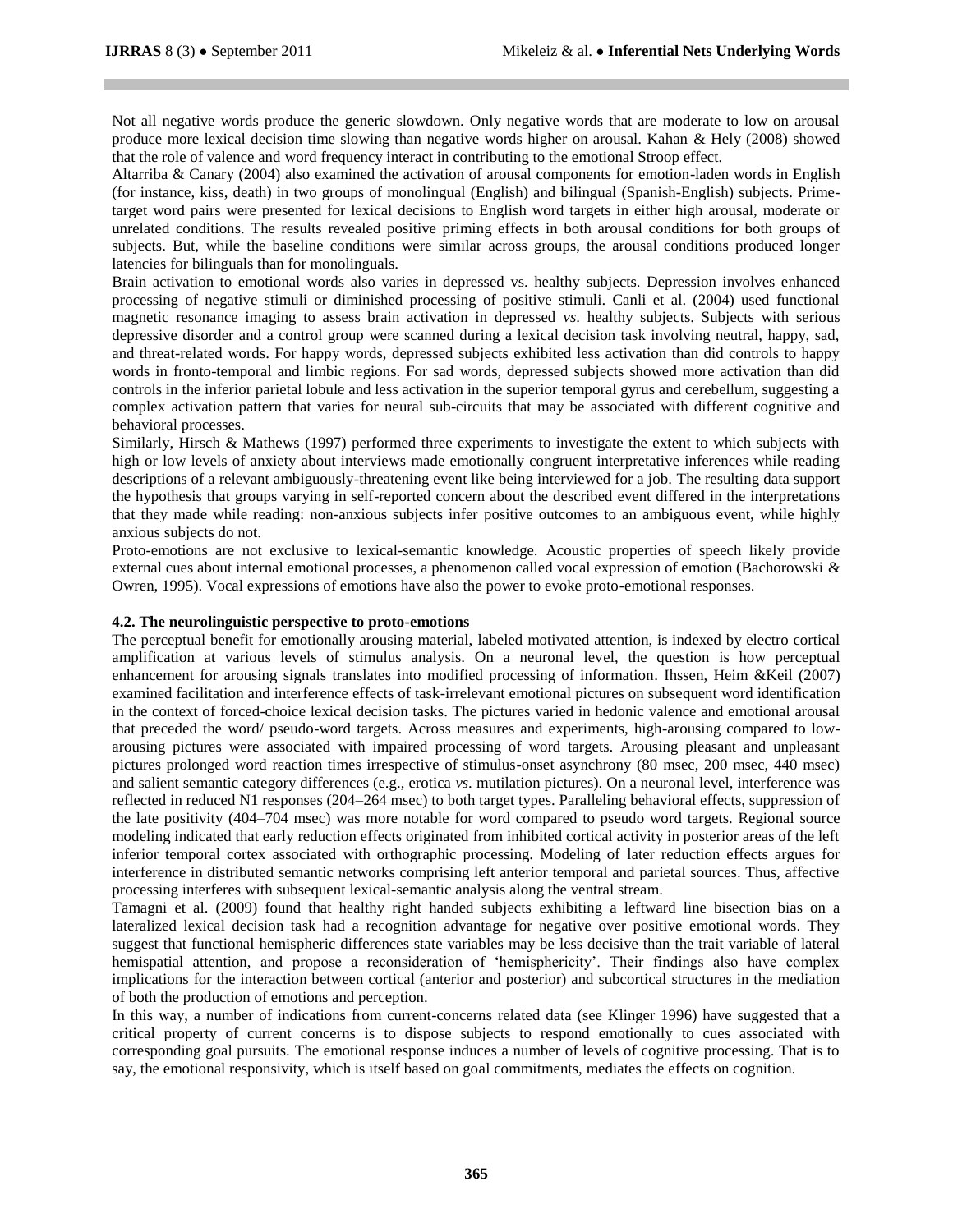Not all negative words produce the generic slowdown. Only negative words that are moderate to low on arousal produce more lexical decision time slowing than negative words higher on arousal. Kahan & Hely (2008) showed that the role of valence and word frequency interact in contributing to the emotional Stroop effect.

Altarriba & Canary (2004) also examined the activation of arousal components for emotion-laden words in English (for instance, kiss, death) in two groups of monolingual (English) and bilingual (Spanish-English) subjects. Primetarget word pairs were presented for lexical decisions to English word targets in either high arousal, moderate or unrelated conditions. The results revealed positive priming effects in both arousal conditions for both groups of subjects. But, while the baseline conditions were similar across groups, the arousal conditions produced longer latencies for bilinguals than for monolinguals.

Brain activation to emotional words also varies in depressed vs. healthy subjects. Depression involves enhanced processing of negative stimuli or diminished processing of positive stimuli. Canli et al. (2004) used functional magnetic resonance imaging to assess brain activation in depressed *vs*. healthy subjects. Subjects with serious depressive disorder and a control group were scanned during a lexical decision task involving neutral, happy, sad, and threat-related words. For happy words, depressed subjects exhibited less activation than did controls to happy words in fronto-temporal and limbic regions. For sad words, depressed subjects showed more activation than did controls in the inferior parietal lobule and less activation in the superior temporal gyrus and cerebellum, suggesting a complex activation pattern that varies for neural sub-circuits that may be associated with different cognitive and behavioral processes.

Similarly, Hirsch & Mathews (1997) performed three experiments to investigate the extent to which subjects with high or low levels of anxiety about interviews made emotionally congruent interpretative inferences while reading descriptions of a relevant ambiguously-threatening event like being interviewed for a job. The resulting data support the hypothesis that groups varying in self-reported concern about the described event differed in the interpretations that they made while reading: non-anxious subjects infer positive outcomes to an ambiguous event, while highly anxious subjects do not.

Proto-emotions are not exclusive to lexical-semantic knowledge. Acoustic properties of speech likely provide external cues about internal emotional processes, a phenomenon called vocal expression of emotion (Bachorowski & Owren, 1995). Vocal expressions of emotions have also the power to evoke proto-emotional responses.

## **4.2. The neurolinguistic perspective to proto-emotions**

The perceptual benefit for emotionally arousing material, labeled motivated attention, is indexed by electro cortical amplification at various levels of stimulus analysis. On a neuronal level, the question is how perceptual enhancement for arousing signals translates into modified processing of information. Ihssen, Heim &Keil (2007) examined facilitation and interference effects of task-irrelevant emotional pictures on subsequent word identification in the context of forced-choice lexical decision tasks. The pictures varied in hedonic valence and emotional arousal that preceded the word/ pseudo-word targets. Across measures and experiments, high-arousing compared to lowarousing pictures were associated with impaired processing of word targets. Arousing pleasant and unpleasant pictures prolonged word reaction times irrespective of stimulus-onset asynchrony (80 msec, 200 msec, 440 msec) and salient semantic category differences (e.g., erotica *vs*. mutilation pictures). On a neuronal level, interference was reflected in reduced N1 responses (204–264 msec) to both target types. Paralleling behavioral effects, suppression of the late positivity (404–704 msec) was more notable for word compared to pseudo word targets. Regional source modeling indicated that early reduction effects originated from inhibited cortical activity in posterior areas of the left inferior temporal cortex associated with orthographic processing. Modeling of later reduction effects argues for interference in distributed semantic networks comprising left anterior temporal and parietal sources. Thus, affective processing interferes with subsequent lexical-semantic analysis along the ventral stream.

Tamagni et al. (2009) found that healthy right handed subjects exhibiting a leftward line bisection bias on a lateralized lexical decision task had a recognition advantage for negative over positive emotional words. They suggest that functional hemispheric differences state variables may be less decisive than the trait variable of lateral hemispatial attention, and propose a reconsideration of 'hemisphericity'. Their findings also have complex implications for the interaction between cortical (anterior and posterior) and subcortical structures in the mediation of both the production of emotions and perception.

In this way, a number of indications from current-concerns related data (see Klinger 1996) have suggested that a critical property of current concerns is to dispose subjects to respond emotionally to cues associated with corresponding goal pursuits. The emotional response induces a number of levels of cognitive processing. That is to say, the emotional responsivity, which is itself based on goal commitments, mediates the effects on cognition.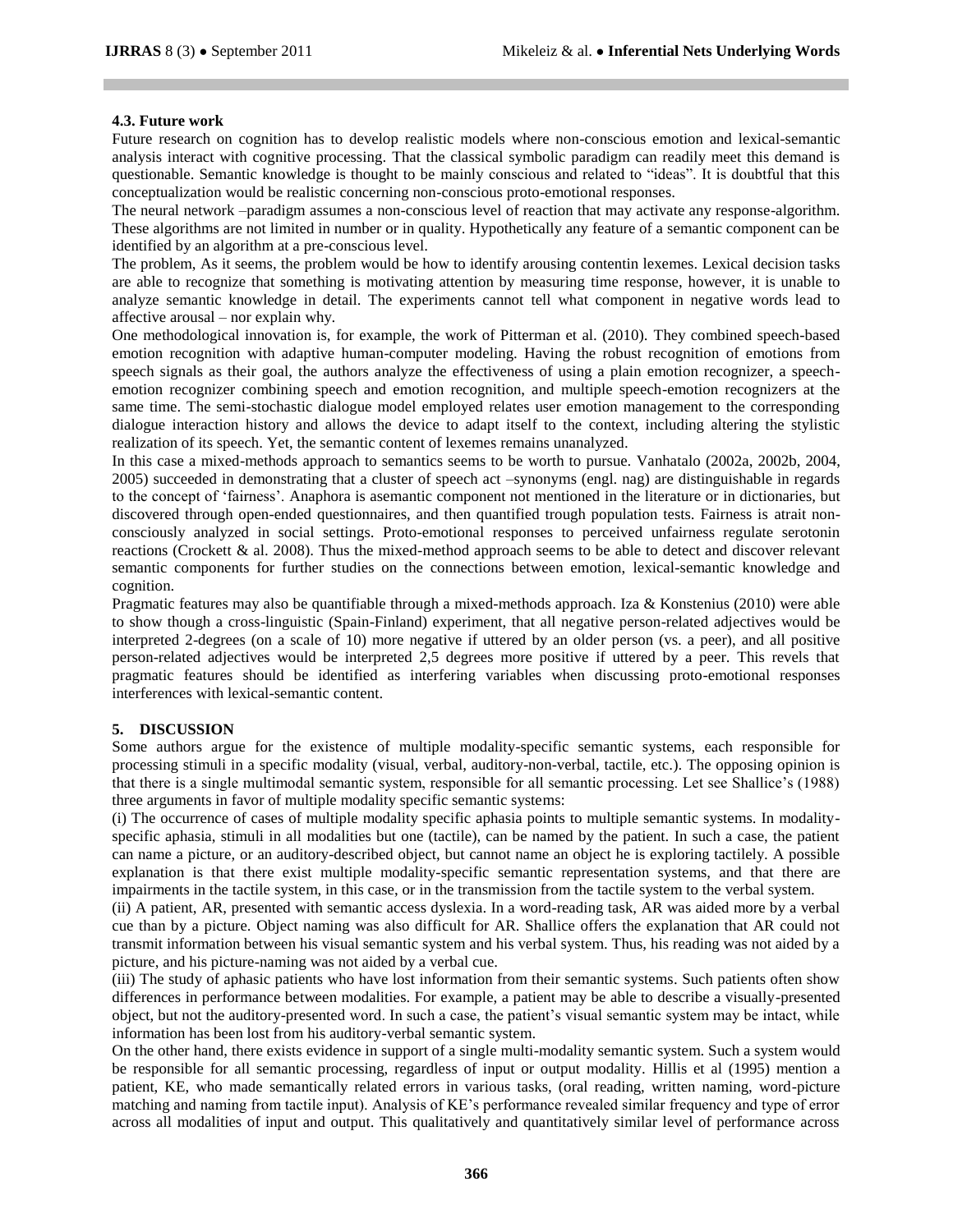#### **4.3. Future work**

Future research on cognition has to develop realistic models where non-conscious emotion and lexical-semantic analysis interact with cognitive processing. That the classical symbolic paradigm can readily meet this demand is questionable. Semantic knowledge is thought to be mainly conscious and related to "ideas". It is doubtful that this conceptualization would be realistic concerning non-conscious proto-emotional responses.

The neural network –paradigm assumes a non-conscious level of reaction that may activate any response-algorithm. These algorithms are not limited in number or in quality. Hypothetically any feature of a semantic component can be identified by an algorithm at a pre-conscious level.

The problem, As it seems, the problem would be how to identify arousing contentin lexemes. Lexical decision tasks are able to recognize that something is motivating attention by measuring time response, however, it is unable to analyze semantic knowledge in detail. The experiments cannot tell what component in negative words lead to affective arousal – nor explain why.

One methodological innovation is, for example, the work of Pitterman et al. (2010). They combined speech-based emotion recognition with adaptive human-computer modeling. Having the robust recognition of emotions from speech signals as their goal, the authors analyze the effectiveness of using a plain emotion recognizer, a speechemotion recognizer combining speech and emotion recognition, and multiple speech-emotion recognizers at the same time. The semi-stochastic dialogue model employed relates user emotion management to the corresponding dialogue interaction history and allows the device to adapt itself to the context, including altering the stylistic realization of its speech. Yet, the semantic content of lexemes remains unanalyzed.

In this case a mixed-methods approach to semantics seems to be worth to pursue. Vanhatalo (2002a, 2002b, 2004, 2005) succeeded in demonstrating that a cluster of speech act –synonyms (engl. nag) are distinguishable in regards to the concept of "fairness". Anaphora is asemantic component not mentioned in the literature or in dictionaries, but discovered through open-ended questionnaires, and then quantified trough population tests. Fairness is atrait nonconsciously analyzed in social settings. Proto-emotional responses to perceived unfairness regulate serotonin reactions (Crockett & al. 2008). Thus the mixed-method approach seems to be able to detect and discover relevant semantic components for further studies on the connections between emotion, lexical-semantic knowledge and cognition.

Pragmatic features may also be quantifiable through a mixed-methods approach. Iza & Konstenius (2010) were able to show though a cross-linguistic (Spain-Finland) experiment, that all negative person-related adjectives would be interpreted 2-degrees (on a scale of 10) more negative if uttered by an older person (vs. a peer), and all positive person-related adjectives would be interpreted 2,5 degrees more positive if uttered by a peer. This revels that pragmatic features should be identified as interfering variables when discussing proto-emotional responses interferences with lexical-semantic content.

## **5. DISCUSSION**

Some authors argue for the existence of multiple modality-specific semantic systems, each responsible for processing stimuli in a specific modality (visual, verbal, auditory-non-verbal, tactile, etc.). The opposing opinion is that there is a single multimodal semantic system, responsible for all semantic processing. Let see Shallice"s (1988) three arguments in favor of multiple modality specific semantic systems:

(i) The occurrence of cases of multiple modality specific aphasia points to multiple semantic systems. In modalityspecific aphasia, stimuli in all modalities but one (tactile), can be named by the patient. In such a case, the patient can name a picture, or an auditory-described object, but cannot name an object he is exploring tactilely. A possible explanation is that there exist multiple modality-specific semantic representation systems, and that there are impairments in the tactile system, in this case, or in the transmission from the tactile system to the verbal system.

(ii) A patient, AR, presented with semantic access dyslexia. In a word-reading task, AR was aided more by a verbal cue than by a picture. Object naming was also difficult for AR. Shallice offers the explanation that AR could not transmit information between his visual semantic system and his verbal system. Thus, his reading was not aided by a picture, and his picture-naming was not aided by a verbal cue.

(iii) The study of aphasic patients who have lost information from their semantic systems. Such patients often show differences in performance between modalities. For example, a patient may be able to describe a visually-presented object, but not the auditory-presented word. In such a case, the patient"s visual semantic system may be intact, while information has been lost from his auditory-verbal semantic system.

On the other hand, there exists evidence in support of a single multi-modality semantic system. Such a system would be responsible for all semantic processing, regardless of input or output modality. Hillis et al (1995) mention a patient, KE, who made semantically related errors in various tasks, (oral reading, written naming, word-picture matching and naming from tactile input). Analysis of KE"s performance revealed similar frequency and type of error across all modalities of input and output. This qualitatively and quantitatively similar level of performance across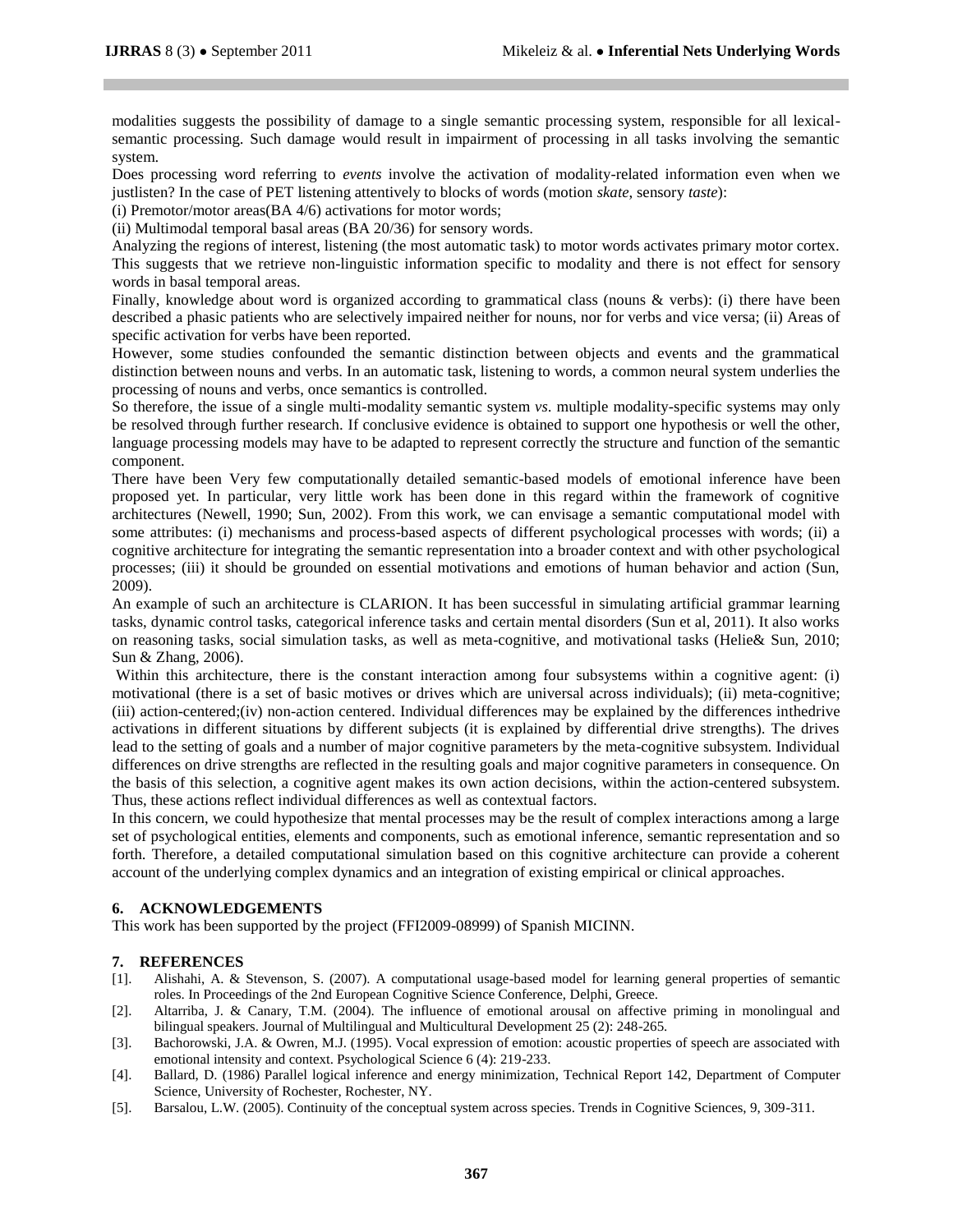modalities suggests the possibility of damage to a single semantic processing system, responsible for all lexicalsemantic processing. Such damage would result in impairment of processing in all tasks involving the semantic system.

Does processing word referring to *events* involve the activation of modality-related information even when we justlisten? In the case of PET listening attentively to blocks of words (motion *skate*, sensory *taste*):

(i) Premotor/motor areas(BA 4/6) activations for motor words;

(ii) Multimodal temporal basal areas (BA 20/36) for sensory words.

Analyzing the regions of interest, listening (the most automatic task) to motor words activates primary motor cortex. This suggests that we retrieve non-linguistic information specific to modality and there is not effect for sensory words in basal temporal areas.

Finally, knowledge about word is organized according to grammatical class (nouns & verbs): (i) there have been described a phasic patients who are selectively impaired neither for nouns, nor for verbs and vice versa; (ii) Areas of specific activation for verbs have been reported.

However, some studies confounded the semantic distinction between objects and events and the grammatical distinction between nouns and verbs. In an automatic task, listening to words, a common neural system underlies the processing of nouns and verbs, once semantics is controlled.

So therefore, the issue of a single multi-modality semantic system *vs*. multiple modality-specific systems may only be resolved through further research. If conclusive evidence is obtained to support one hypothesis or well the other, language processing models may have to be adapted to represent correctly the structure and function of the semantic component.

There have been Very few computationally detailed semantic-based models of emotional inference have been proposed yet. In particular, very little work has been done in this regard within the framework of cognitive architectures (Newell, 1990; Sun, 2002). From this work, we can envisage a semantic computational model with some attributes: (i) mechanisms and process-based aspects of different psychological processes with words; (ii) a cognitive architecture for integrating the semantic representation into a broader context and with other psychological processes; (iii) it should be grounded on essential motivations and emotions of human behavior and action (Sun, 2009).

An example of such an architecture is CLARION. It has been successful in simulating artificial grammar learning tasks, dynamic control tasks, categorical inference tasks and certain mental disorders (Sun et al, 2011). It also works on reasoning tasks, social simulation tasks, as well as meta-cognitive, and motivational tasks (Helie& Sun, 2010; Sun & Zhang, 2006).

Within this architecture, there is the constant interaction among four subsystems within a cognitive agent: (i) motivational (there is a set of basic motives or drives which are universal across individuals); (ii) meta-cognitive; (iii) action-centered;(iv) non-action centered. Individual differences may be explained by the differences inthedrive activations in different situations by different subjects (it is explained by differential drive strengths). The drives lead to the setting of goals and a number of major cognitive parameters by the meta-cognitive subsystem. Individual differences on drive strengths are reflected in the resulting goals and major cognitive parameters in consequence. On the basis of this selection, a cognitive agent makes its own action decisions, within the action-centered subsystem. Thus, these actions reflect individual differences as well as contextual factors.

In this concern, we could hypothesize that mental processes may be the result of complex interactions among a large set of psychological entities, elements and components, such as emotional inference, semantic representation and so forth. Therefore, a detailed computational simulation based on this cognitive architecture can provide a coherent account of the underlying complex dynamics and an integration of existing empirical or clinical approaches.

## **6. ACKNOWLEDGEMENTS**

This work has been supported by the project (FFI2009-08999) of Spanish MICINN.

## **7. REFERENCES**

- [1]. Alishahi, A. & Stevenson, S. (2007). A computational usage-based model for learning general properties of semantic roles. In Proceedings of the 2nd European Cognitive Science Conference, Delphi, Greece.
- [2]. Altarriba, J. & Canary, T.M. (2004). The influence of emotional arousal on affective priming in monolingual and bilingual speakers. Journal of Multilingual and Multicultural Development 25 (2): 248-265.
- [3]. Bachorowski, J.A. & Owren, M.J. (1995). Vocal expression of emotion: acoustic properties of speech are associated with emotional intensity and context. Psychological Science 6 (4): 219-233.
- [4]. Ballard, D. (1986) Parallel logical inference and energy minimization, Technical Report 142, Department of Computer Science, University of Rochester, Rochester, NY.
- [5]. Barsalou, L.W. (2005). Continuity of the conceptual system across species. Trends in Cognitive Sciences, 9, 309-311.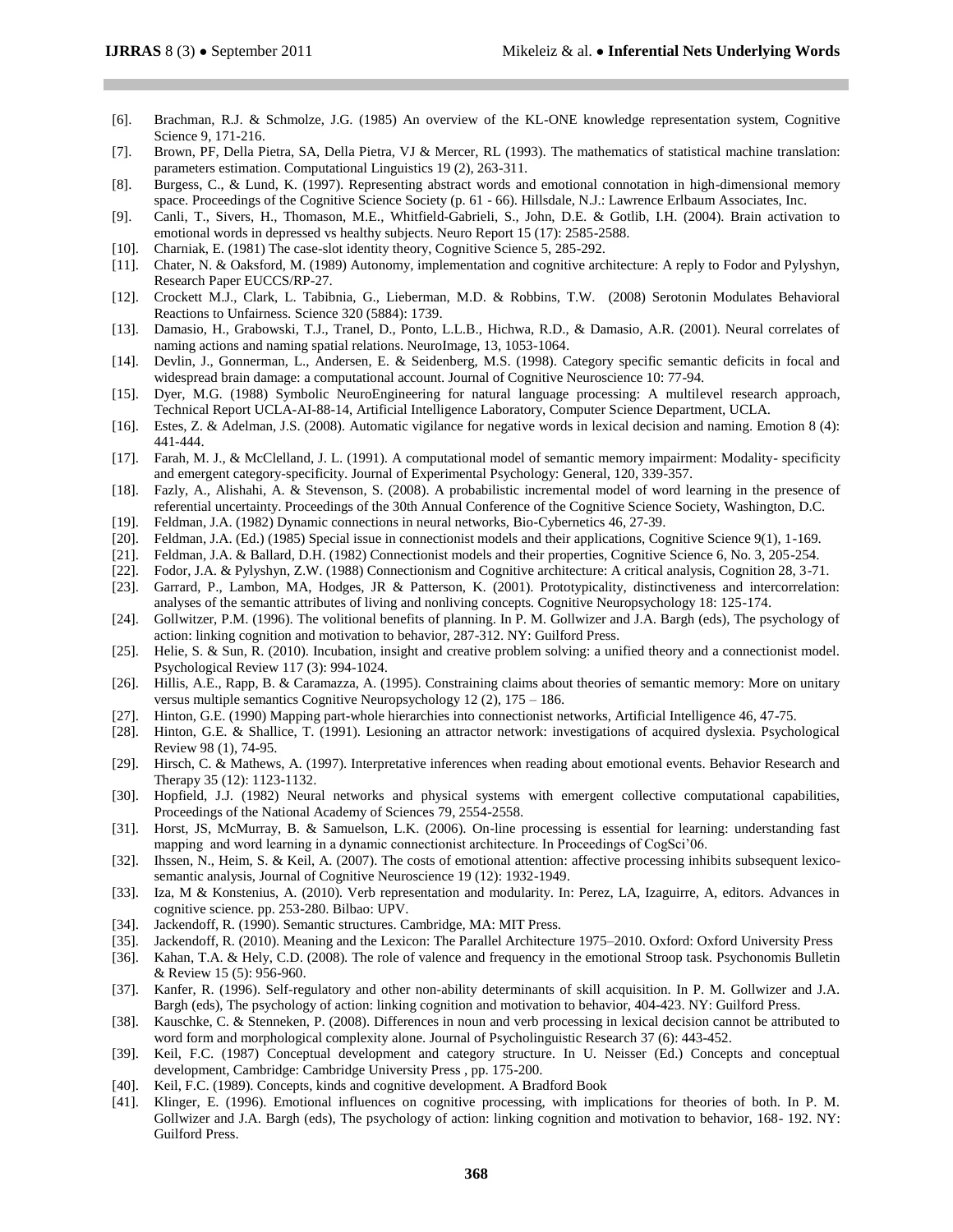- [6]. Brachman, R.J. & Schmolze, J.G. (1985) An overview of the KL-ONE knowledge representation system, Cognitive Science 9, 171-216.
- [7]. Brown, PF, Della Pietra, SA, Della Pietra, VJ & Mercer, RL (1993). The mathematics of statistical machine translation: parameters estimation. Computational Linguistics 19 (2), 263-311.
- [8]. Burgess, C., & Lund, K. (1997). Representing abstract words and emotional connotation in high-dimensional memory space. Proceedings of the Cognitive Science Society (p. 61 - 66). Hillsdale, N.J.: Lawrence Erlbaum Associates, Inc.
- [9]. Canli, T., Sivers, H., Thomason, M.E., Whitfield-Gabrieli, S., John, D.E. & Gotlib, I.H. (2004). Brain activation to emotional words in depressed vs healthy subjects. Neuro Report 15 (17): 2585-2588.
- [10]. Charniak, E. (1981) The case-slot identity theory, Cognitive Science 5, 285-292.
- [11]. Chater, N. & Oaksford, M. (1989) Autonomy, implementation and cognitive architecture: A reply to Fodor and Pylyshyn, Research Paper EUCCS/RP-27.
- [12]. Crockett M.J., Clark, L. Tabibnia, G., Lieberman, M.D. & Robbins, T.W. (2008) Serotonin Modulates Behavioral Reactions to Unfairness. Science 320 (5884): 1739.
- [13]. Damasio, H., Grabowski, T.J., Tranel, D., Ponto, L.L.B., Hichwa, R.D., & Damasio, A.R. (2001). Neural correlates of naming actions and naming spatial relations. NeuroImage, 13, 1053-1064.
- [14]. Devlin, J., Gonnerman, L., Andersen, E. & Seidenberg, M.S. (1998). Category specific semantic deficits in focal and widespread brain damage: a computational account. Journal of Cognitive Neuroscience 10: 77-94.
- [15]. Dyer, M.G. (1988) Symbolic NeuroEngineering for natural language processing: A multilevel research approach, Technical Report UCLA-AI-88-14, Artificial Intelligence Laboratory, Computer Science Department, UCLA.
- [16]. Estes, Z. & Adelman, J.S. (2008). Automatic vigilance for negative words in lexical decision and naming. Emotion 8 (4): 441-444.
- [17]. Farah, M. J., & McClelland, J. L. (1991). A computational model of semantic memory impairment: Modality- specificity and emergent category-specificity. Journal of Experimental Psychology: General, 120, 339-357.
- [18]. Fazly, A., Alishahi, A. & Stevenson, S. (2008). A probabilistic incremental model of word learning in the presence of referential uncertainty. Proceedings of the 30th Annual Conference of the Cognitive Science Society, Washington, D.C.
- [19]. Feldman, J.A. (1982) Dynamic connections in neural networks, Bio-Cybernetics 46, 27-39.
- [20]. Feldman, J.A. (Ed.) (1985) Special issue in connectionist models and their applications, Cognitive Science 9(1), 1-169.
- [21]. Feldman, J.A. & Ballard, D.H. (1982) Connectionist models and their properties, Cognitive Science 6, No. 3, 205-254.
- [22]. Fodor, J.A. & Pylyshyn, Z.W. (1988) Connectionism and Cognitive architecture: A critical analysis, Cognition 28, 3-71.
- [23]. Garrard, P., Lambon, MA, Hodges, JR & Patterson, K. (2001). Prototypicality, distinctiveness and intercorrelation: analyses of the semantic attributes of living and nonliving concepts. Cognitive Neuropsychology 18: 125-174.
- [24]. Gollwitzer, P.M. (1996). The volitional benefits of planning. In P. M. Gollwizer and J.A. Bargh (eds), The psychology of action: linking cognition and motivation to behavior, 287-312. NY: Guilford Press.
- [25]. Helie, S. & Sun, R. (2010). Incubation, insight and creative problem solving: a unified theory and a connectionist model. Psychological Review 117 (3): 994-1024.
- [26]. Hillis, A.E., Rapp, B. & Caramazza, A. (1995). Constraining claims about theories of semantic memory: More on unitary versus multiple semantics Cognitive Neuropsychology 12 (2), 175 – 186.
- [27]. Hinton, G.E. (1990) Mapping part-whole hierarchies into connectionist networks, Artificial Intelligence 46, 47-75.
- [28]. Hinton, G.E. & Shallice, T. (1991). Lesioning an attractor network: investigations of acquired dyslexia. Psychological Review 98 (1), 74-95.
- [29]. Hirsch, C. & Mathews, A. (1997). Interpretative inferences when reading about emotional events. Behavior Research and Therapy 35 (12): 1123-1132.
- [30]. Hopfield, J.J. (1982) Neural networks and physical systems with emergent collective computational capabilities, Proceedings of the National Academy of Sciences 79, 2554-2558.
- [31]. Horst, JS, McMurray, B. & Samuelson, L.K. (2006). On-line processing is essential for learning: understanding fast mapping and word learning in a dynamic connectionist architecture. In Proceedings of CogSci"06.
- [32]. Ihssen, N., Heim, S. & Keil, A. (2007). The costs of emotional attention: affective processing inhibits subsequent lexicosemantic analysis, Journal of Cognitive Neuroscience 19 (12): 1932-1949.
- [33]. Iza, M & Konstenius, A. (2010). Verb representation and modularity. In: Perez, LA, Izaguirre, A, editors. Advances in cognitive science. pp. 253-280. Bilbao: UPV.
- [34]. Jackendoff, R. (1990). Semantic structures. Cambridge, MA: MIT Press.
- [35]. Jackendoff, R. (2010). Meaning and the Lexicon: The Parallel Architecture 1975–2010. Oxford: Oxford University Press
- [36]. Kahan, T.A. & Hely, C.D. (2008). The role of valence and frequency in the emotional Stroop task. Psychonomis Bulletin & Review 15 (5): 956-960.
- [37]. Kanfer, R. (1996). Self-regulatory and other non-ability determinants of skill acquisition. In P. M. Gollwizer and J.A. Bargh (eds), The psychology of action: linking cognition and motivation to behavior, 404-423. NY: Guilford Press.
- [38]. Kauschke, C. & Stenneken, P. (2008). Differences in noun and verb processing in lexical decision cannot be attributed to word form and morphological complexity alone. Journal of Psycholinguistic Research 37 (6): 443-452.
- [39]. Keil, F.C. (1987) Conceptual development and category structure. In U. Neisser (Ed.) Concepts and conceptual development, Cambridge: Cambridge University Press , pp. 175-200.
- [40]. Keil, F.C. (1989). Concepts, kinds and cognitive development. A Bradford Book
- [41]. Klinger, E. (1996). Emotional influences on cognitive processing, with implications for theories of both. In P. M. Gollwizer and J.A. Bargh (eds), The psychology of action: linking cognition and motivation to behavior, 168- 192. NY: Guilford Press.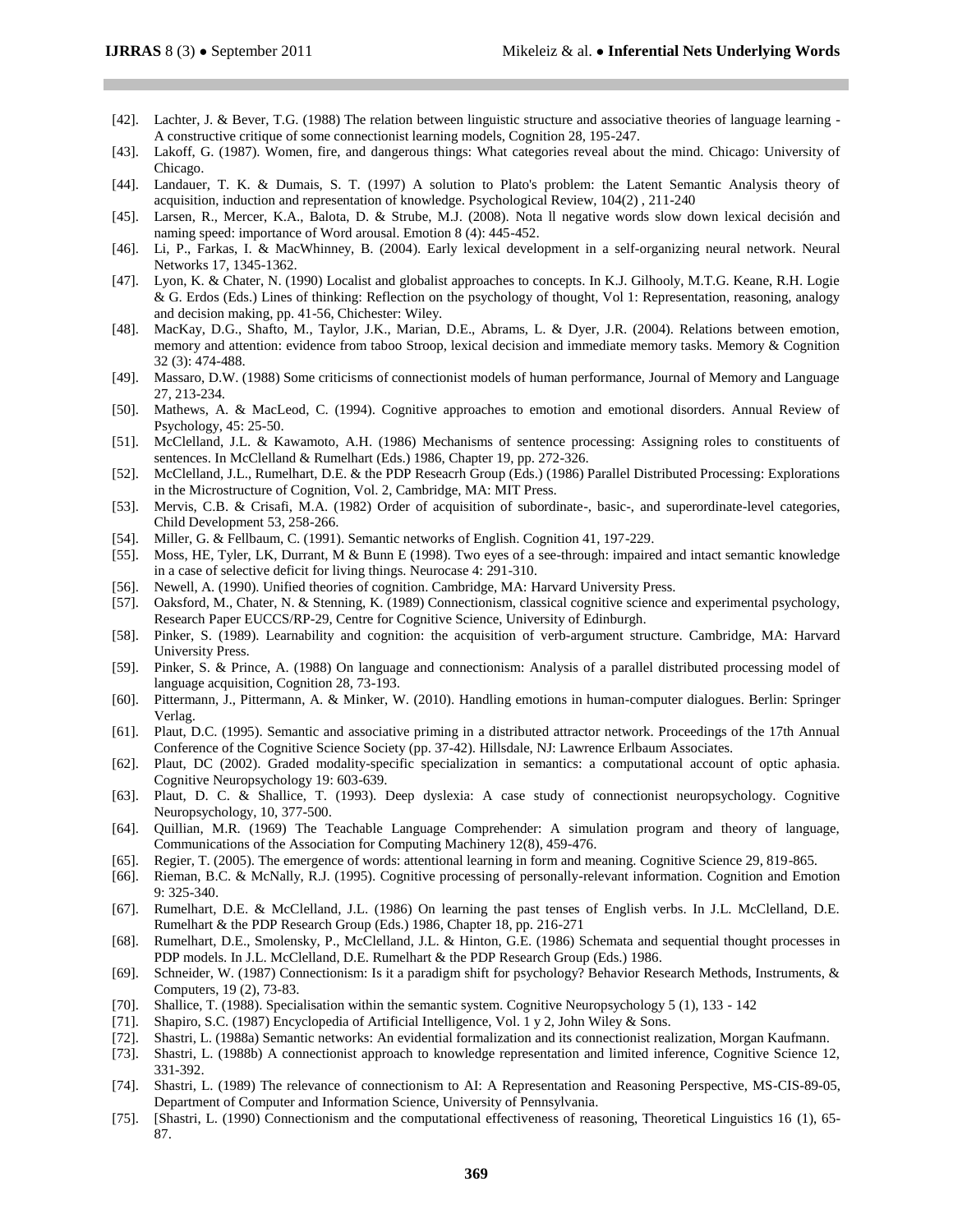- [42]. Lachter, J. & Bever, T.G. (1988) The relation between linguistic structure and associative theories of language learning A constructive critique of some connectionist learning models, Cognition 28, 195-247.
- [43]. Lakoff, G. (1987). Women, fire, and dangerous things: What categories reveal about the mind. Chicago: University of Chicago.
- [44]. Landauer, T. K. & Dumais, S. T. (1997) A solution to Plato's problem: the Latent Semantic Analysis theory of acquisition, induction and representation of knowledge. Psychological Review, 104(2) , 211-240
- [45]. Larsen, R., Mercer, K.A., Balota, D. & Strube, M.J. (2008). Nota ll negative words slow down lexical decisión and naming speed: importance of Word arousal. Emotion 8 (4): 445-452.
- [46]. Li, P., Farkas, I. & MacWhinney, B. (2004). Early lexical development in a self-organizing neural network. Neural Networks 17, 1345-1362.
- [47]. Lyon, K. & Chater, N. (1990) Localist and globalist approaches to concepts. In K.J. Gilhooly, M.T.G. Keane, R.H. Logie & G. Erdos (Eds.) Lines of thinking: Reflection on the psychology of thought, Vol 1: Representation, reasoning, analogy and decision making, pp. 41-56, Chichester: Wiley.
- [48]. MacKay, D.G., Shafto, M., Taylor, J.K., Marian, D.E., Abrams, L. & Dyer, J.R. (2004). Relations between emotion, memory and attention: evidence from taboo Stroop, lexical decision and immediate memory tasks. Memory & Cognition 32 (3): 474-488.
- [49]. Massaro, D.W. (1988) Some criticisms of connectionist models of human performance, Journal of Memory and Language 27, 213-234.
- [50]. Mathews, A. & MacLeod, C. (1994). Cognitive approaches to emotion and emotional disorders. Annual Review of Psychology, 45: 25-50.
- [51]. McClelland, J.L. & Kawamoto, A.H. (1986) Mechanisms of sentence processing: Assigning roles to constituents of sentences. In McClelland & Rumelhart (Eds.) 1986, Chapter 19, pp. 272-326.
- [52]. McClelland, J.L., Rumelhart, D.E. & the PDP Reseacrh Group (Eds.) (1986) Parallel Distributed Processing: Explorations in the Microstructure of Cognition, Vol. 2, Cambridge, MA: MIT Press.
- [53]. Mervis, C.B. & Crisafi, M.A. (1982) Order of acquisition of subordinate-, basic-, and superordinate-level categories, Child Development 53, 258-266.
- [54]. Miller, G. & Fellbaum, C. (1991). Semantic networks of English. Cognition 41, 197-229.
- [55]. Moss, HE, Tyler, LK, Durrant, M & Bunn E (1998). Two eyes of a see-through: impaired and intact semantic knowledge in a case of selective deficit for living things. Neurocase 4: 291-310.
- [56]. Newell, A. (1990). Unified theories of cognition. Cambridge, MA: Harvard University Press.
- [57]. Oaksford, M., Chater, N. & Stenning, K. (1989) Connectionism, classical cognitive science and experimental psychology, Research Paper EUCCS/RP-29, Centre for Cognitive Science, University of Edinburgh.
- [58]. Pinker, S. (1989). Learnability and cognition: the acquisition of verb-argument structure. Cambridge, MA: Harvard University Press.
- [59]. Pinker, S. & Prince, A. (1988) On language and connectionism: Analysis of a parallel distributed processing model of language acquisition, Cognition 28, 73-193.
- [60]. Pittermann, J., Pittermann, A. & Minker, W. (2010). Handling emotions in human-computer dialogues. Berlin: Springer Verlag.
- [61]. Plaut, D.C. (1995). Semantic and associative priming in a distributed attractor network. Proceedings of the 17th Annual Conference of the Cognitive Science Society (pp. 37-42). Hillsdale, NJ: Lawrence Erlbaum Associates.
- [62]. Plaut, DC (2002). Graded modality-specific specialization in semantics: a computational account of optic aphasia. Cognitive Neuropsychology 19: 603-639.
- [63]. Plaut, D. C. & Shallice, T. (1993). Deep dyslexia: A case study of connectionist neuropsychology. Cognitive Neuropsychology, 10, 377-500.
- [64]. Quillian, M.R. (1969) The Teachable Language Comprehender: A simulation program and theory of language, Communications of the Association for Computing Machinery 12(8), 459-476.
- [65]. Regier, T. (2005). The emergence of words: attentional learning in form and meaning. Cognitive Science 29, 819-865.
- [66]. Rieman, B.C. & McNally, R.J. (1995). Cognitive processing of personally-relevant information. Cognition and Emotion 9: 325-340.
- [67]. Rumelhart, D.E. & McClelland, J.L. (1986) On learning the past tenses of English verbs. In J.L. McClelland, D.E. Rumelhart & the PDP Research Group (Eds.) 1986, Chapter 18, pp. 216-271
- [68]. Rumelhart, D.E., Smolensky, P., McClelland, J.L. & Hinton, G.E. (1986) Schemata and sequential thought processes in PDP models. In J.L. McClelland, D.E. Rumelhart & the PDP Research Group (Eds.) 1986.
- [69]. Schneider, W. (1987) Connectionism: Is it a paradigm shift for psychology? Behavior Research Methods, Instruments, & Computers, 19 (2), 73-83.
- [70]. Shallice, T. (1988). Specialisation within the semantic system. Cognitive Neuropsychology 5 (1), 133 142
- [71]. Shapiro, S.C. (1987) Encyclopedia of Artificial Intelligence, Vol. 1 y 2, John Wiley & Sons.
- [72]. Shastri, L. (1988a) Semantic networks: An evidential formalization and its connectionist realization, Morgan Kaufmann.
- [73]. Shastri, L. (1988b) A connectionist approach to knowledge representation and limited inference, Cognitive Science 12, 331-392.
- [74]. Shastri, L. (1989) The relevance of connectionism to AI: A Representation and Reasoning Perspective, MS-CIS-89-05, Department of Computer and Information Science, University of Pennsylvania.
- [75]. [Shastri, L. (1990) Connectionism and the computational effectiveness of reasoning, Theoretical Linguistics 16 (1), 65- 87.